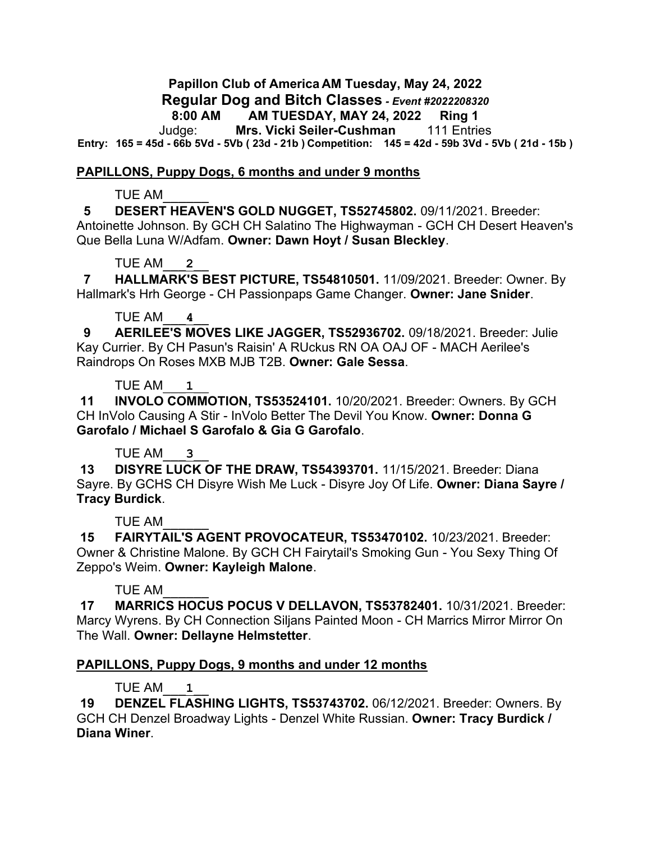**Papillon Club of America AM Tuesday, May 24, 2022 Regular Dog and Bitch Classes** *- Event #2022208320* **8:00 AM AM TUESDAY, MAY 24, 2022 Ring 1**

Judge: **Mrs. Vicki Seiler-Cushman** 111 Entries **Entry: 165 = 45d - 66b 5Vd - 5Vb ( 23d - 21b ) Competition: 145 = 42d - 59b 3Vd - 5Vb ( 21d - 15b )**

### **PAPILLONS, Puppy Dogs, 6 months and under 9 months**

### TUE AM\_\_\_\_\_\_

 **5 DESERT HEAVEN'S GOLD NUGGET, TS52745802.** 09/11/2021. Breeder: Antoinette Johnson. By GCH CH Salatino The Highwayman - GCH CH Desert Heaven's

Que Bella Luna W/Adfam. **Owner: Dawn Hoyt / Susan Bleckley**.

## TUE AM\_\_\_**2**\_\_

 **7 HALLMARK'S BEST PICTURE, TS54810501.** 11/09/2021. Breeder: Owner. By Hallmark's Hrh George - CH Passionpaps Game Changer. **Owner: Jane Snider**.

## TUE AM\_\_\_**4**\_\_

 **9 AERILEE'S MOVES LIKE JAGGER, TS52936702.** 09/18/2021. Breeder: Julie Kay Currier. By CH Pasun's Raisin' A RUckus RN OA OAJ OF - MACH Aerilee's Raindrops On Roses MXB MJB T2B. **Owner: Gale Sessa**.

## TUE AM\_\_\_**1**\_\_

**11 INVOLO COMMOTION, TS53524101.** 10/20/2021. Breeder: Owners. By GCH CH InVolo Causing A Stir - InVolo Better The Devil You Know. **Owner: Donna G Garofalo / Michael S Garofalo & Gia G Garofalo**.

## TUE AM\_\_\_**3**\_\_

**13 DISYRE LUCK OF THE DRAW, TS54393701.** 11/15/2021. Breeder: Diana Sayre. By GCHS CH Disyre Wish Me Luck - Disyre Joy Of Life. **Owner: Diana Sayre / Tracy Burdick**.

## TUE AM\_\_\_\_\_\_

**15 FAIRYTAIL'S AGENT PROVOCATEUR, TS53470102.** 10/23/2021. Breeder: Owner & Christine Malone. By GCH CH Fairytail's Smoking Gun - You Sexy Thing Of Zeppo's Weim. **Owner: Kayleigh Malone**.

## TUE AM\_\_\_\_\_\_

**17 MARRICS HOCUS POCUS V DELLAVON, TS53782401.** 10/31/2021. Breeder: Marcy Wyrens. By CH Connection Siljans Painted Moon - CH Marrics Mirror Mirror On The Wall. **Owner: Dellayne Helmstetter**.

## **PAPILLONS, Puppy Dogs, 9 months and under 12 months**

# TUE AM\_\_\_**1**\_\_

**19 DENZEL FLASHING LIGHTS, TS53743702.** 06/12/2021. Breeder: Owners. By GCH CH Denzel Broadway Lights - Denzel White Russian. **Owner: Tracy Burdick / Diana Winer**.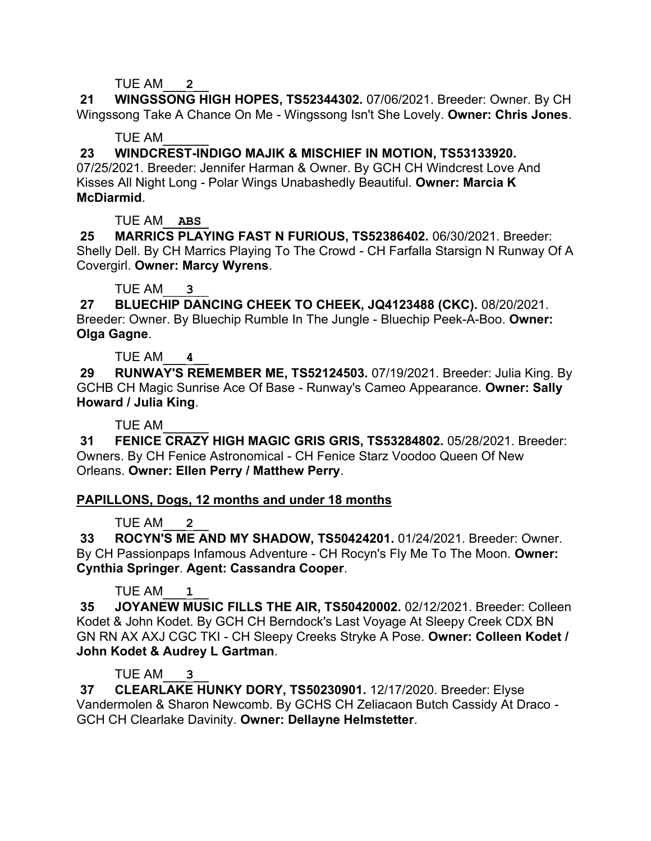TUE AM\_\_\_**2**\_\_

**21 WINGSSONG HIGH HOPES, TS52344302.** 07/06/2021. Breeder: Owner. By CH Wingssong Take A Chance On Me - Wingssong Isn't She Lovely. **Owner: Chris Jones**.

## TUE AM\_\_\_\_\_\_

# **23 WINDCREST-INDIGO MAJIK & MISCHIEF IN MOTION, TS53133920.**

07/25/2021. Breeder: Jennifer Harman & Owner. By GCH CH Windcrest Love And Kisses All Night Long - Polar Wings Unabashedly Beautiful. **Owner: Marcia K McDiarmid**.

TUE AM\_\_**ABS**\_

**25 MARRICS PLAYING FAST N FURIOUS, TS52386402.** 06/30/2021. Breeder: Shelly Dell. By CH Marrics Playing To The Crowd - CH Farfalla Starsign N Runway Of A Covergirl. **Owner: Marcy Wyrens**.

TUE AM\_\_\_**3**\_\_

**27 BLUECHIP DANCING CHEEK TO CHEEK, JQ4123488 (CKC).** 08/20/2021. Breeder: Owner. By Bluechip Rumble In The Jungle - Bluechip Peek-A-Boo. **Owner: Olga Gagne**.

TUE AM\_\_\_**4**\_\_

**29 RUNWAY'S REMEMBER ME, TS52124503.** 07/19/2021. Breeder: Julia King. By GCHB CH Magic Sunrise Ace Of Base - Runway's Cameo Appearance. **Owner: Sally Howard / Julia King**.

TUE AM\_\_\_\_\_\_

**31 FENICE CRAZY HIGH MAGIC GRIS GRIS, TS53284802.** 05/28/2021. Breeder: Owners. By CH Fenice Astronomical - CH Fenice Starz Voodoo Queen Of New Orleans. **Owner: Ellen Perry / Matthew Perry**.

## **PAPILLONS, Dogs, 12 months and under 18 months**

TUE AM\_\_\_**2**\_\_

**33 ROCYN'S ME AND MY SHADOW, TS50424201.** 01/24/2021. Breeder: Owner. By CH Passionpaps Infamous Adventure - CH Rocyn's Fly Me To The Moon. **Owner: Cynthia Springer**. **Agent: Cassandra Cooper**.

TUE AM\_\_\_**1**\_\_

**35 JOYANEW MUSIC FILLS THE AIR, TS50420002.** 02/12/2021. Breeder: Colleen Kodet & John Kodet. By GCH CH Berndock's Last Voyage At Sleepy Creek CDX BN GN RN AX AXJ CGC TKI - CH Sleepy Creeks Stryke A Pose. **Owner: Colleen Kodet / John Kodet & Audrey L Gartman**.

## TUE AM\_\_\_**3**\_\_

**37 CLEARLAKE HUNKY DORY, TS50230901.** 12/17/2020. Breeder: Elyse Vandermolen & Sharon Newcomb. By GCHS CH Zeliacaon Butch Cassidy At Draco - GCH CH Clearlake Davinity. **Owner: Dellayne Helmstetter**.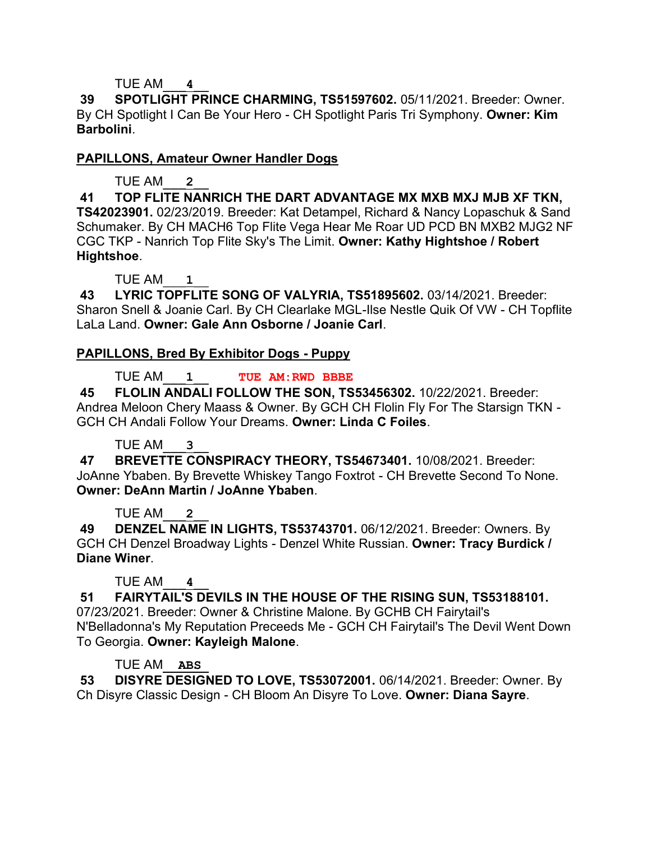## TUE AM\_\_\_**4**\_\_

**39 SPOTLIGHT PRINCE CHARMING, TS51597602.** 05/11/2021. Breeder: Owner. By CH Spotlight I Can Be Your Hero - CH Spotlight Paris Tri Symphony. **Owner: Kim Barbolini**.

## **PAPILLONS, Amateur Owner Handler Dogs**

TUE AM\_\_\_**2**\_\_

**41 TOP FLITE NANRICH THE DART ADVANTAGE MX MXB MXJ MJB XF TKN, TS42023901.** 02/23/2019. Breeder: Kat Detampel, Richard & Nancy Lopaschuk & Sand Schumaker. By CH MACH6 Top Flite Vega Hear Me Roar UD PCD BN MXB2 MJG2 NF CGC TKP - Nanrich Top Flite Sky's The Limit. **Owner: Kathy Hightshoe / Robert Hightshoe**.

TUE AM\_\_\_**1**\_\_

**43 LYRIC TOPFLITE SONG OF VALYRIA, TS51895602.** 03/14/2021. Breeder: Sharon Snell & Joanie Carl. By CH Clearlake MGL-Ilse Nestle Quik Of VW - CH Topflite LaLa Land. **Owner: Gale Ann Osborne / Joanie Carl**.

# **PAPILLONS, Bred By Exhibitor Dogs - Puppy**

TUE AM\_\_\_**1**\_\_ **TUE AM:RWD BBBE**

**45 FLOLIN ANDALI FOLLOW THE SON, TS53456302.** 10/22/2021. Breeder: Andrea Meloon Chery Maass & Owner. By GCH CH Flolin Fly For The Starsign TKN - GCH CH Andali Follow Your Dreams. **Owner: Linda C Foiles**.

# TUE AM\_\_\_**3**\_\_

**47 BREVETTE CONSPIRACY THEORY, TS54673401.** 10/08/2021. Breeder: JoAnne Ybaben. By Brevette Whiskey Tango Foxtrot - CH Brevette Second To None. **Owner: DeAnn Martin / JoAnne Ybaben**.

# TUE AM\_\_\_**2**\_\_

**49 DENZEL NAME IN LIGHTS, TS53743701.** 06/12/2021. Breeder: Owners. By GCH CH Denzel Broadway Lights - Denzel White Russian. **Owner: Tracy Burdick / Diane Winer**.

# TUE AM\_\_\_**4**\_\_

**51 FAIRYTAIL'S DEVILS IN THE HOUSE OF THE RISING SUN, TS53188101.**  07/23/2021. Breeder: Owner & Christine Malone. By GCHB CH Fairytail's N'Belladonna's My Reputation Preceeds Me - GCH CH Fairytail's The Devil Went Down To Georgia. **Owner: Kayleigh Malone**.

# TUE AM\_\_**ABS**\_

**53 DISYRE DESIGNED TO LOVE, TS53072001.** 06/14/2021. Breeder: Owner. By Ch Disyre Classic Design - CH Bloom An Disyre To Love. **Owner: Diana Sayre**.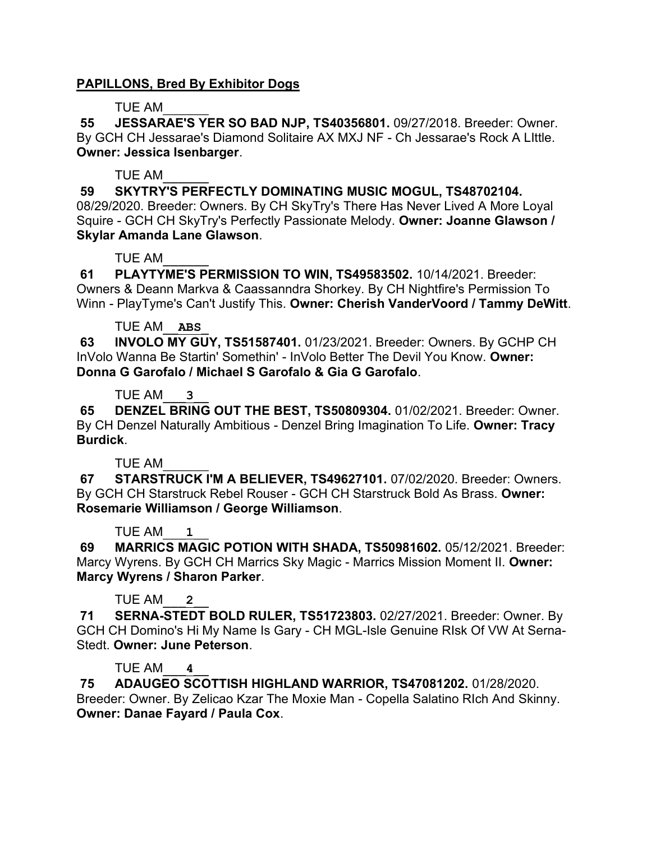## **PAPILLONS, Bred By Exhibitor Dogs**

## TUE AM\_\_\_\_\_\_

**55 JESSARAE'S YER SO BAD NJP, TS40356801.** 09/27/2018. Breeder: Owner. By GCH CH Jessarae's Diamond Solitaire AX MXJ NF - Ch Jessarae's Rock A LIttle. **Owner: Jessica Isenbarger**.

## TUE AM\_\_\_\_\_\_

**59 SKYTRY'S PERFECTLY DOMINATING MUSIC MOGUL, TS48702104.**  08/29/2020. Breeder: Owners. By CH SkyTry's There Has Never Lived A More Loyal Squire - GCH CH SkyTry's Perfectly Passionate Melody. **Owner: Joanne Glawson / Skylar Amanda Lane Glawson**.

## TUE AM\_\_\_\_\_\_

**61 PLAYTYME'S PERMISSION TO WIN, TS49583502.** 10/14/2021. Breeder: Owners & Deann Markva & Caassanndra Shorkey. By CH Nightfire's Permission To Winn - PlayTyme's Can't Justify This. **Owner: Cherish VanderVoord / Tammy DeWitt**.

## TUE AM\_\_**ABS**\_

**63 INVOLO MY GUY, TS51587401.** 01/23/2021. Breeder: Owners. By GCHP CH InVolo Wanna Be Startin' Somethin' - InVolo Better The Devil You Know. **Owner: Donna G Garofalo / Michael S Garofalo & Gia G Garofalo**.

## TUE AM\_\_\_**3**\_\_

**65 DENZEL BRING OUT THE BEST, TS50809304.** 01/02/2021. Breeder: Owner. By CH Denzel Naturally Ambitious - Denzel Bring Imagination To Life. **Owner: Tracy Burdick**.

# TUE AM\_\_\_\_\_\_

**67 STARSTRUCK I'M A BELIEVER, TS49627101.** 07/02/2020. Breeder: Owners. By GCH CH Starstruck Rebel Rouser - GCH CH Starstruck Bold As Brass. **Owner: Rosemarie Williamson / George Williamson**.

# TUE AM\_\_\_**1**\_\_

**69 MARRICS MAGIC POTION WITH SHADA, TS50981602.** 05/12/2021. Breeder: Marcy Wyrens. By GCH CH Marrics Sky Magic - Marrics Mission Moment II. **Owner: Marcy Wyrens / Sharon Parker**.

# TUE AM\_\_\_**2**\_\_

**71 SERNA-STEDT BOLD RULER, TS51723803.** 02/27/2021. Breeder: Owner. By GCH CH Domino's Hi My Name Is Gary - CH MGL-Isle Genuine RIsk Of VW At Serna-Stedt. **Owner: June Peterson**.

# TUE AM\_\_\_**4**\_\_

**75 ADAUGEO SCOTTISH HIGHLAND WARRIOR, TS47081202.** 01/28/2020. Breeder: Owner. By Zelicao Kzar The Moxie Man - Copella Salatino RIch And Skinny. **Owner: Danae Fayard / Paula Cox**.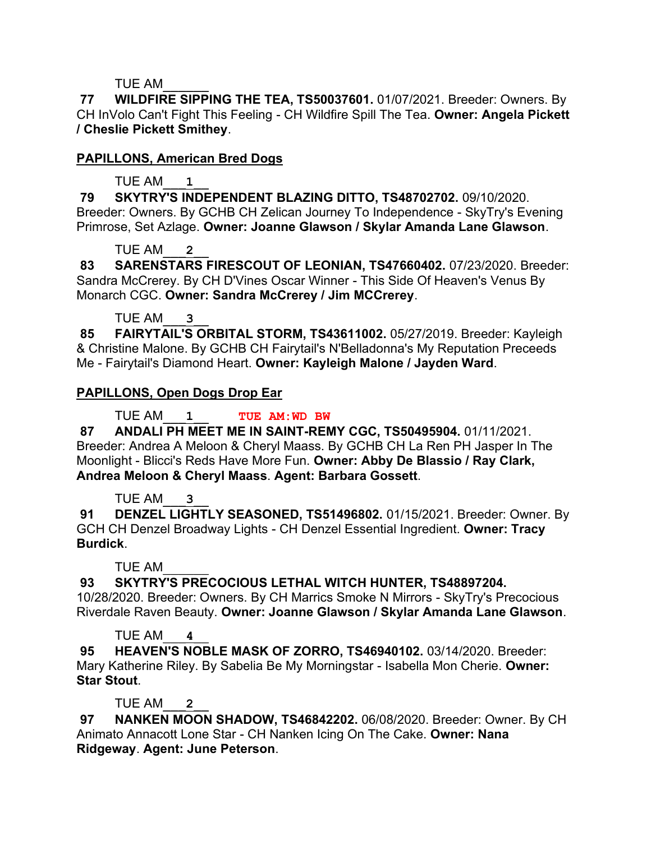## TUE AM\_\_\_\_\_\_

**77 WILDFIRE SIPPING THE TEA, TS50037601.** 01/07/2021. Breeder: Owners. By CH InVolo Can't Fight This Feeling - CH Wildfire Spill The Tea. **Owner: Angela Pickett / Cheslie Pickett Smithey**.

# **PAPILLONS, American Bred Dogs**

# TUE AM\_\_\_**1**\_\_

**79 SKYTRY'S INDEPENDENT BLAZING DITTO, TS48702702.** 09/10/2020. Breeder: Owners. By GCHB CH Zelican Journey To Independence - SkyTry's Evening Primrose, Set Azlage. **Owner: Joanne Glawson / Skylar Amanda Lane Glawson**.

# TUE AM\_\_\_**2**\_\_

**83 SARENSTARS FIRESCOUT OF LEONIAN, TS47660402.** 07/23/2020. Breeder: Sandra McCrerey. By CH D'Vines Oscar Winner - This Side Of Heaven's Venus By Monarch CGC. **Owner: Sandra McCrerey / Jim MCCrerey**.

# TUE AM\_\_\_**3**\_\_

**85 FAIRYTAIL'S ORBITAL STORM, TS43611002.** 05/27/2019. Breeder: Kayleigh & Christine Malone. By GCHB CH Fairytail's N'Belladonna's My Reputation Preceeds Me - Fairytail's Diamond Heart. **Owner: Kayleigh Malone / Jayden Ward**.

# **PAPILLONS, Open Dogs Drop Ear**

# TUE AM\_\_\_**1**\_\_ **TUE AM:WD BW**

**87 ANDALI PH MEET ME IN SAINT-REMY CGC, TS50495904.** 01/11/2021. Breeder: Andrea A Meloon & Cheryl Maass. By GCHB CH La Ren PH Jasper In The Moonlight - Blicci's Reds Have More Fun. **Owner: Abby De Blassio / Ray Clark, Andrea Meloon & Cheryl Maass**. **Agent: Barbara Gossett**.

# TUE AM\_\_\_**3**\_\_

**91 DENZEL LIGHTLY SEASONED, TS51496802.** 01/15/2021. Breeder: Owner. By GCH CH Denzel Broadway Lights - CH Denzel Essential Ingredient. **Owner: Tracy Burdick**.

# TUE AM\_\_\_\_\_\_

**93 SKYTRY'S PRECOCIOUS LETHAL WITCH HUNTER, TS48897204.** 

10/28/2020. Breeder: Owners. By CH Marrics Smoke N Mirrors - SkyTry's Precocious Riverdale Raven Beauty. **Owner: Joanne Glawson / Skylar Amanda Lane Glawson**.

# TUE AM\_\_\_**4**\_\_

**95 HEAVEN'S NOBLE MASK OF ZORRO, TS46940102.** 03/14/2020. Breeder: Mary Katherine Riley. By Sabelia Be My Morningstar - Isabella Mon Cherie. **Owner: Star Stout**.

# TUE AM\_\_\_**2**\_\_

**97 NANKEN MOON SHADOW, TS46842202.** 06/08/2020. Breeder: Owner. By CH Animato Annacott Lone Star - CH Nanken Icing On The Cake. **Owner: Nana Ridgeway**. **Agent: June Peterson**.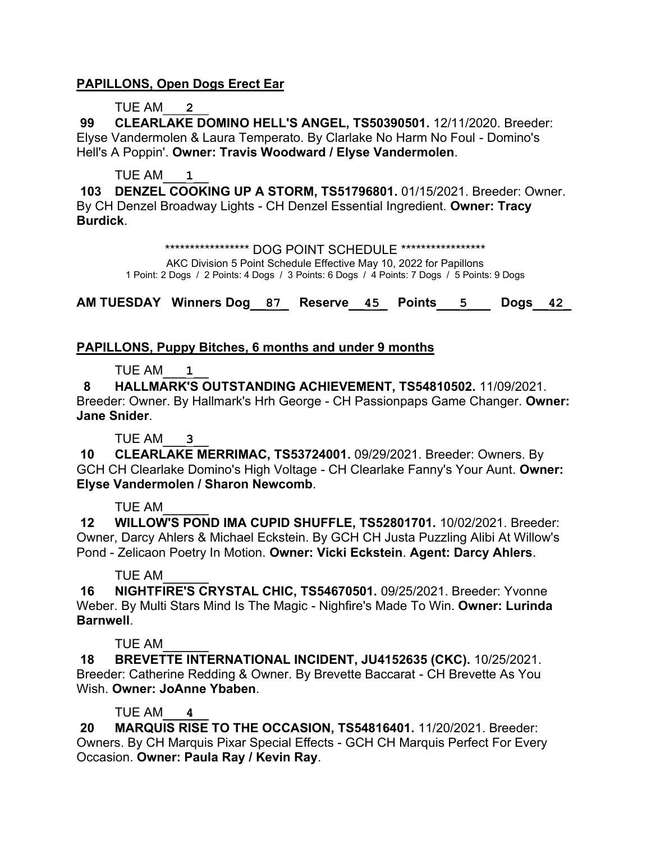## **PAPILLONS, Open Dogs Erect Ear**

### TUE AM\_\_\_**2**\_\_

**99 CLEARLAKE DOMINO HELL'S ANGEL, TS50390501.** 12/11/2020. Breeder: Elyse Vandermolen & Laura Temperato. By Clarlake No Harm No Foul - Domino's Hell's A Poppin'. **Owner: Travis Woodward / Elyse Vandermolen**.

#### TUE AM\_\_\_**1**\_\_

**103 DENZEL COOKING UP A STORM, TS51796801.** 01/15/2021. Breeder: Owner. By CH Denzel Broadway Lights - CH Denzel Essential Ingredient. **Owner: Tracy Burdick**.

> \*\*\*\*\*\*\*\*\*\*\*\*\*\*\*\*\*\* DOG POINT SCHEDULE \*\*\*\*\*\*\*\*\*\*\*\*\*\*\*\*\*\* AKC Division 5 Point Schedule Effective May 10, 2022 for Papillons 1 Point: 2 Dogs / 2 Points: 4 Dogs / 3 Points: 6 Dogs / 4 Points: 7 Dogs / 5 Points: 9 Dogs

**AM TUESDAY Winners Dog\_\_87\_ Reserve\_\_45\_ Points\_\_\_5\_\_\_ Dogs\_\_42\_**

### **PAPILLONS, Puppy Bitches, 6 months and under 9 months**

### TUE AM\_\_\_**1**\_\_

 **8 HALLMARK'S OUTSTANDING ACHIEVEMENT, TS54810502.** 11/09/2021. Breeder: Owner. By Hallmark's Hrh George - CH Passionpaps Game Changer. **Owner: Jane Snider**.

## TUE AM\_\_\_**3**\_\_

**10 CLEARLAKE MERRIMAC, TS53724001.** 09/29/2021. Breeder: Owners. By GCH CH Clearlake Domino's High Voltage - CH Clearlake Fanny's Your Aunt. **Owner: Elyse Vandermolen / Sharon Newcomb**.

#### TUE AM\_\_\_\_\_\_

**12 WILLOW'S POND IMA CUPID SHUFFLE, TS52801701.** 10/02/2021. Breeder: Owner, Darcy Ahlers & Michael Eckstein. By GCH CH Justa Puzzling Alibi At Willow's Pond - Zelicaon Poetry In Motion. **Owner: Vicki Eckstein**. **Agent: Darcy Ahlers**.

#### TUE AM\_\_\_\_\_\_

**16 NIGHTFIRE'S CRYSTAL CHIC, TS54670501.** 09/25/2021. Breeder: Yvonne Weber. By Multi Stars Mind Is The Magic - Nighfire's Made To Win. **Owner: Lurinda Barnwell**.

#### TUE AM\_\_\_\_\_\_

**18 BREVETTE INTERNATIONAL INCIDENT, JU4152635 (CKC).** 10/25/2021. Breeder: Catherine Redding & Owner. By Brevette Baccarat - CH Brevette As You Wish. **Owner: JoAnne Ybaben**.

## TUE AM\_\_\_**4**\_\_

**20 MARQUIS RISE TO THE OCCASION, TS54816401.** 11/20/2021. Breeder: Owners. By CH Marquis Pixar Special Effects - GCH CH Marquis Perfect For Every Occasion. **Owner: Paula Ray / Kevin Ray**.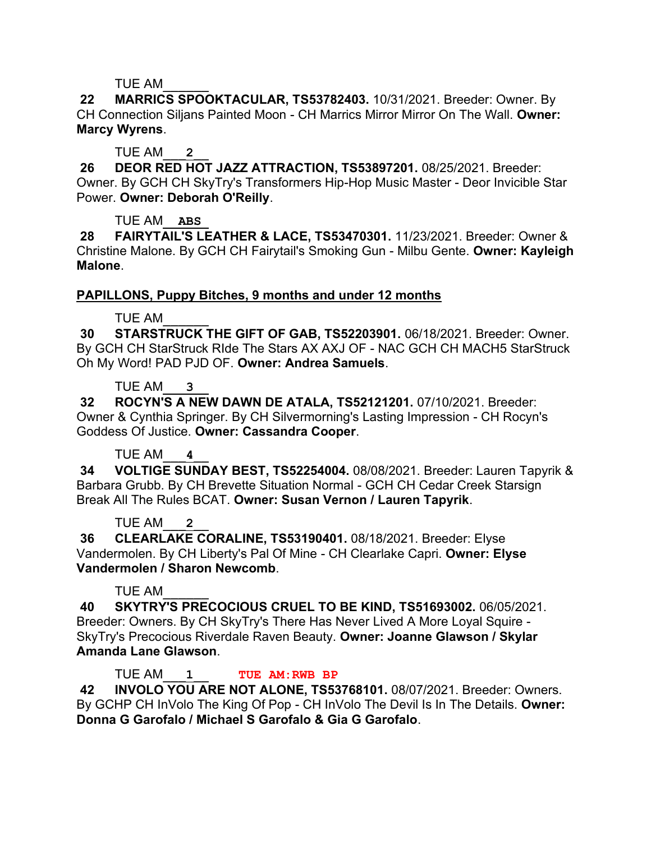### TUE AM\_\_\_\_\_\_

**22 MARRICS SPOOKTACULAR, TS53782403.** 10/31/2021. Breeder: Owner. By CH Connection Siljans Painted Moon - CH Marrics Mirror Mirror On The Wall. **Owner: Marcy Wyrens**.

### TUE AM\_\_\_**2**\_\_

**26 DEOR RED HOT JAZZ ATTRACTION, TS53897201.** 08/25/2021. Breeder: Owner. By GCH CH SkyTry's Transformers Hip-Hop Music Master - Deor Invicible Star Power. **Owner: Deborah O'Reilly**.

### TUE AM\_\_**ABS**\_

**28 FAIRYTAIL'S LEATHER & LACE, TS53470301.** 11/23/2021. Breeder: Owner & Christine Malone. By GCH CH Fairytail's Smoking Gun - Milbu Gente. **Owner: Kayleigh Malone**.

### **PAPILLONS, Puppy Bitches, 9 months and under 12 months**

## TUE AM\_\_\_\_\_\_

**30 STARSTRUCK THE GIFT OF GAB, TS52203901.** 06/18/2021. Breeder: Owner. By GCH CH StarStruck RIde The Stars AX AXJ OF - NAC GCH CH MACH5 StarStruck Oh My Word! PAD PJD OF. **Owner: Andrea Samuels**.

### TUE AM\_\_\_**3**\_\_

**32 ROCYN'S A NEW DAWN DE ATALA, TS52121201.** 07/10/2021. Breeder: Owner & Cynthia Springer. By CH Silvermorning's Lasting Impression - CH Rocyn's Goddess Of Justice. **Owner: Cassandra Cooper**.

## TUE AM\_\_\_**4**\_\_

**34 VOLTIGE SUNDAY BEST, TS52254004.** 08/08/2021. Breeder: Lauren Tapyrik & Barbara Grubb. By CH Brevette Situation Normal - GCH CH Cedar Creek Starsign Break All The Rules BCAT. **Owner: Susan Vernon / Lauren Tapyrik**.

#### TUE AM\_\_\_**2**\_\_

**36 CLEARLAKE CORALINE, TS53190401.** 08/18/2021. Breeder: Elyse Vandermolen. By CH Liberty's Pal Of Mine - CH Clearlake Capri. **Owner: Elyse Vandermolen / Sharon Newcomb**.

#### TUE AM\_\_\_\_\_\_

**40 SKYTRY'S PRECOCIOUS CRUEL TO BE KIND, TS51693002.** 06/05/2021. Breeder: Owners. By CH SkyTry's There Has Never Lived A More Loyal Squire - SkyTry's Precocious Riverdale Raven Beauty. **Owner: Joanne Glawson / Skylar Amanda Lane Glawson**.

## TUE AM\_\_\_**1**\_\_ **TUE AM:RWB BP**

**42 INVOLO YOU ARE NOT ALONE, TS53768101.** 08/07/2021. Breeder: Owners. By GCHP CH InVolo The King Of Pop - CH InVolo The Devil Is In The Details. **Owner: Donna G Garofalo / Michael S Garofalo & Gia G Garofalo**.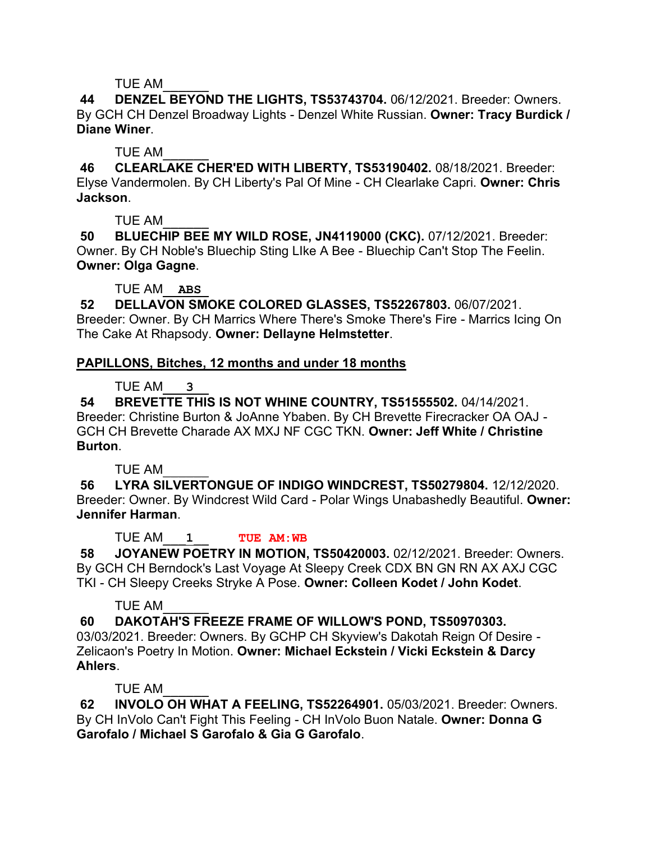TUE AM\_\_\_\_\_\_

**44 DENZEL BEYOND THE LIGHTS, TS53743704.** 06/12/2021. Breeder: Owners. By GCH CH Denzel Broadway Lights - Denzel White Russian. **Owner: Tracy Burdick / Diane Winer**.

TUE AM\_\_\_\_\_\_

**46 CLEARLAKE CHER'ED WITH LIBERTY, TS53190402.** 08/18/2021. Breeder: Elyse Vandermolen. By CH Liberty's Pal Of Mine - CH Clearlake Capri. **Owner: Chris Jackson**.

TUE AM\_\_\_\_\_\_

**50 BLUECHIP BEE MY WILD ROSE, JN4119000 (CKC).** 07/12/2021. Breeder: Owner. By CH Noble's Bluechip Sting LIke A Bee - Bluechip Can't Stop The Feelin. **Owner: Olga Gagne**.

TUE AM\_\_**ABS**\_

**52 DELLAVON SMOKE COLORED GLASSES, TS52267803.** 06/07/2021. Breeder: Owner. By CH Marrics Where There's Smoke There's Fire - Marrics Icing On The Cake At Rhapsody. **Owner: Dellayne Helmstetter**.

# **PAPILLONS, Bitches, 12 months and under 18 months**

TUE AM\_\_\_**3**\_\_

**54 BREVETTE THIS IS NOT WHINE COUNTRY, TS51555502.** 04/14/2021. Breeder: Christine Burton & JoAnne Ybaben. By CH Brevette Firecracker OA OAJ - GCH CH Brevette Charade AX MXJ NF CGC TKN. **Owner: Jeff White / Christine Burton**.

TUE AM\_\_\_\_\_\_

**56 LYRA SILVERTONGUE OF INDIGO WINDCREST, TS50279804.** 12/12/2020. Breeder: Owner. By Windcrest Wild Card - Polar Wings Unabashedly Beautiful. **Owner: Jennifer Harman**.

TUE AM\_\_\_**1**\_\_ **TUE AM:WB**

**58 JOYANEW POETRY IN MOTION, TS50420003.** 02/12/2021. Breeder: Owners. By GCH CH Berndock's Last Voyage At Sleepy Creek CDX BN GN RN AX AXJ CGC TKI - CH Sleepy Creeks Stryke A Pose. **Owner: Colleen Kodet / John Kodet**.

TUE AM\_\_\_\_\_\_

**60 DAKOTAH'S FREEZE FRAME OF WILLOW'S POND, TS50970303.**  03/03/2021. Breeder: Owners. By GCHP CH Skyview's Dakotah Reign Of Desire - Zelicaon's Poetry In Motion. **Owner: Michael Eckstein / Vicki Eckstein & Darcy Ahlers**.

TUE AM\_\_\_\_\_\_

**62 INVOLO OH WHAT A FEELING, TS52264901.** 05/03/2021. Breeder: Owners. By CH InVolo Can't Fight This Feeling - CH InVolo Buon Natale. **Owner: Donna G Garofalo / Michael S Garofalo & Gia G Garofalo**.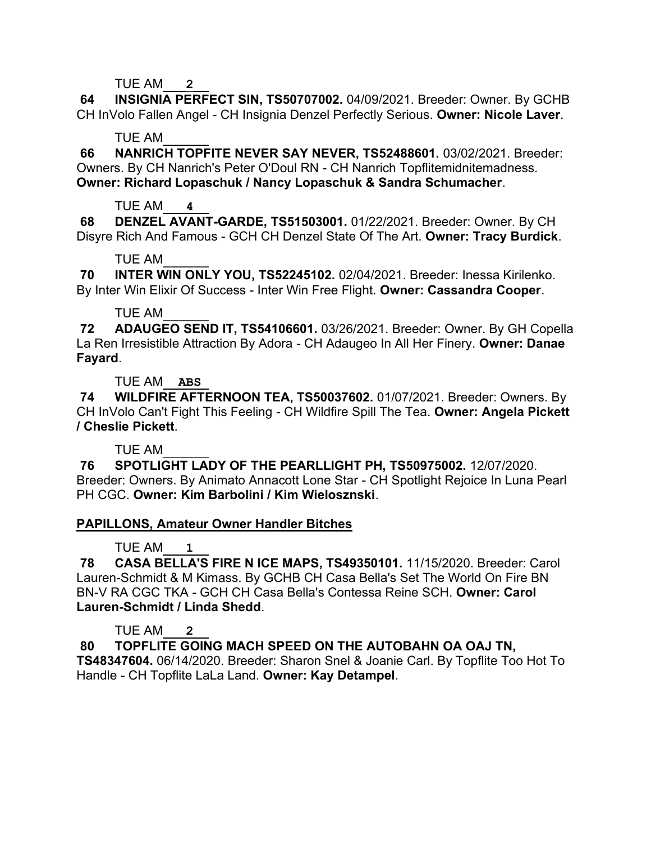TUE AM\_\_\_**2**\_\_

**64 INSIGNIA PERFECT SIN, TS50707002.** 04/09/2021. Breeder: Owner. By GCHB CH InVolo Fallen Angel - CH Insignia Denzel Perfectly Serious. **Owner: Nicole Laver**.

## TUE AM\_\_\_\_\_\_

**66 NANRICH TOPFITE NEVER SAY NEVER, TS52488601.** 03/02/2021. Breeder: Owners. By CH Nanrich's Peter O'Doul RN - CH Nanrich Topflitemidnitemadness. **Owner: Richard Lopaschuk / Nancy Lopaschuk & Sandra Schumacher**.

## TUE AM\_\_\_**4**\_\_

**68 DENZEL AVANT-GARDE, TS51503001.** 01/22/2021. Breeder: Owner. By CH Disyre Rich And Famous - GCH CH Denzel State Of The Art. **Owner: Tracy Burdick**.

## TUE AM\_\_\_\_\_\_

**70 INTER WIN ONLY YOU, TS52245102.** 02/04/2021. Breeder: Inessa Kirilenko. By Inter Win Elixir Of Success - Inter Win Free Flight. **Owner: Cassandra Cooper**.

## TUE AM\_\_\_\_\_\_

**72 ADAUGEO SEND IT, TS54106601.** 03/26/2021. Breeder: Owner. By GH Copella La Ren Irresistible Attraction By Adora - CH Adaugeo In All Her Finery. **Owner: Danae Fayard**.

TUE AM\_\_**ABS**\_

**74 WILDFIRE AFTERNOON TEA, TS50037602.** 01/07/2021. Breeder: Owners. By CH InVolo Can't Fight This Feeling - CH Wildfire Spill The Tea. **Owner: Angela Pickett / Cheslie Pickett**.

# TUE AM\_\_\_\_\_\_

**76 SPOTLIGHT LADY OF THE PEARLLIGHT PH, TS50975002.** 12/07/2020. Breeder: Owners. By Animato Annacott Lone Star - CH Spotlight Rejoice In Luna Pearl PH CGC. **Owner: Kim Barbolini / Kim Wielosznski**.

# **PAPILLONS, Amateur Owner Handler Bitches**

# TUE AM\_\_\_**1**\_\_

**78 CASA BELLA'S FIRE N ICE MAPS, TS49350101.** 11/15/2020. Breeder: Carol Lauren-Schmidt & M Kimass. By GCHB CH Casa Bella's Set The World On Fire BN BN-V RA CGC TKA - GCH CH Casa Bella's Contessa Reine SCH. **Owner: Carol Lauren-Schmidt / Linda Shedd**.

# TUE AM\_\_\_**2**\_\_

**80 TOPFLITE GOING MACH SPEED ON THE AUTOBAHN OA OAJ TN, TS48347604.** 06/14/2020. Breeder: Sharon Snel & Joanie Carl. By Topflite Too Hot To Handle - CH Topflite LaLa Land. **Owner: Kay Detampel**.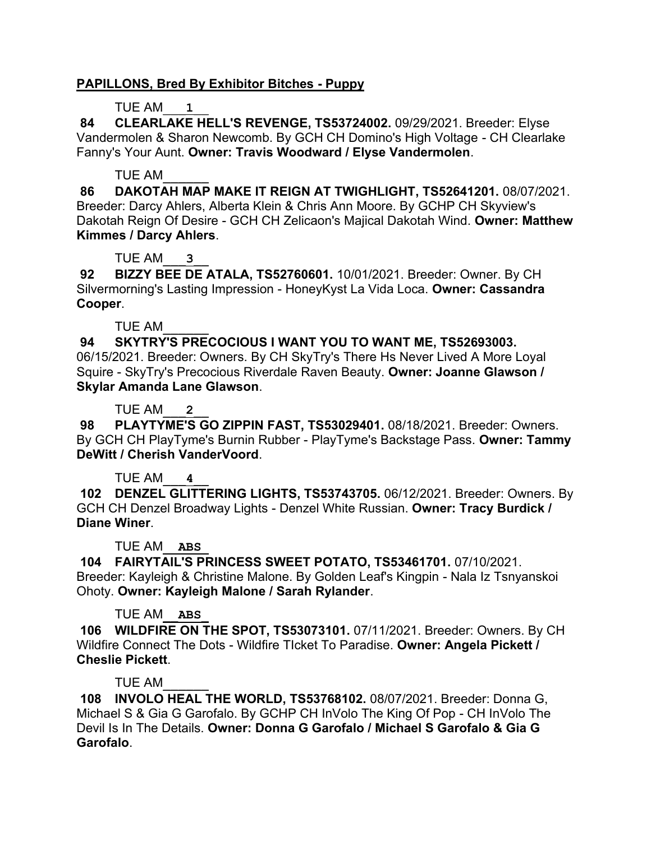## **PAPILLONS, Bred By Exhibitor Bitches - Puppy**

# TUE AM\_\_\_**1**\_\_

**84 CLEARLAKE HELL'S REVENGE, TS53724002.** 09/29/2021. Breeder: Elyse Vandermolen & Sharon Newcomb. By GCH CH Domino's High Voltage - CH Clearlake Fanny's Your Aunt. **Owner: Travis Woodward / Elyse Vandermolen**.

## TUE AM\_\_\_\_\_\_

**86 DAKOTAH MAP MAKE IT REIGN AT TWIGHLIGHT, TS52641201.** 08/07/2021. Breeder: Darcy Ahlers, Alberta Klein & Chris Ann Moore. By GCHP CH Skyview's Dakotah Reign Of Desire - GCH CH Zelicaon's Majical Dakotah Wind. **Owner: Matthew Kimmes / Darcy Ahlers**.

## TUE AM\_\_\_**3**\_\_

**92 BIZZY BEE DE ATALA, TS52760601.** 10/01/2021. Breeder: Owner. By CH Silvermorning's Lasting Impression - HoneyKyst La Vida Loca. **Owner: Cassandra Cooper**.

## TUE AM\_\_\_\_\_\_

**94 SKYTRY'S PRECOCIOUS I WANT YOU TO WANT ME, TS52693003.**  06/15/2021. Breeder: Owners. By CH SkyTry's There Hs Never Lived A More Loyal Squire - SkyTry's Precocious Riverdale Raven Beauty. **Owner: Joanne Glawson / Skylar Amanda Lane Glawson**.

## TUE AM\_\_\_**2**\_\_

**98 PLAYTYME'S GO ZIPPIN FAST, TS53029401.** 08/18/2021. Breeder: Owners. By GCH CH PlayTyme's Burnin Rubber - PlayTyme's Backstage Pass. **Owner: Tammy DeWitt / Cherish VanderVoord**.

# TUE AM\_\_\_**4**\_\_

**102 DENZEL GLITTERING LIGHTS, TS53743705.** 06/12/2021. Breeder: Owners. By GCH CH Denzel Broadway Lights - Denzel White Russian. **Owner: Tracy Burdick / Diane Winer**.

## TUE AM\_\_**ABS**\_

**104 FAIRYTAIL'S PRINCESS SWEET POTATO, TS53461701.** 07/10/2021. Breeder: Kayleigh & Christine Malone. By Golden Leaf's Kingpin - Nala Iz Tsnyanskoi Ohoty. **Owner: Kayleigh Malone / Sarah Rylander**.

# TUE AM\_\_**ABS**\_

**106 WILDFIRE ON THE SPOT, TS53073101.** 07/11/2021. Breeder: Owners. By CH Wildfire Connect The Dots - Wildfire TIcket To Paradise. **Owner: Angela Pickett / Cheslie Pickett**.

## TUE AM\_\_\_\_\_\_

**108 INVOLO HEAL THE WORLD, TS53768102.** 08/07/2021. Breeder: Donna G, Michael S & Gia G Garofalo. By GCHP CH InVolo The King Of Pop - CH InVolo The Devil Is In The Details. **Owner: Donna G Garofalo / Michael S Garofalo & Gia G Garofalo**.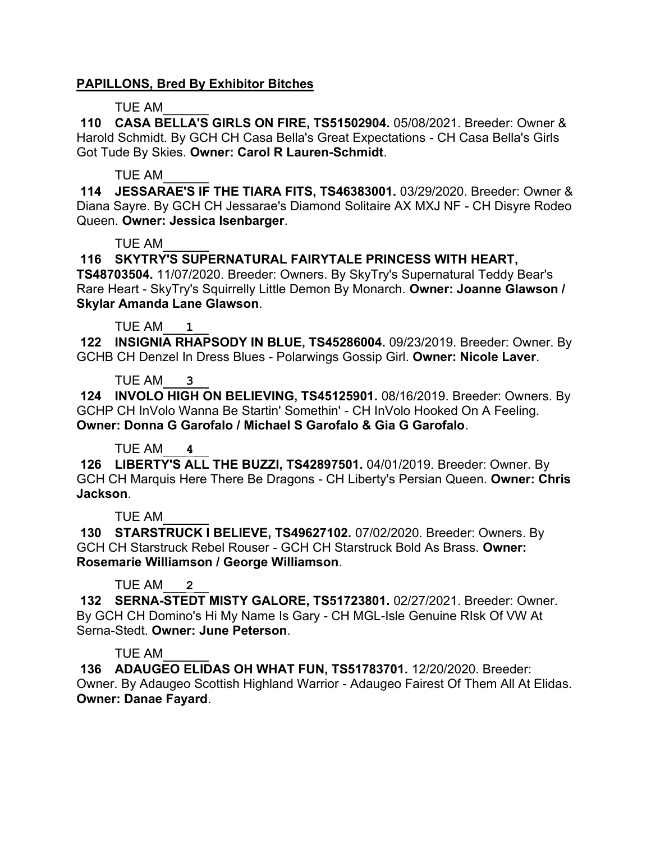### **PAPILLONS, Bred By Exhibitor Bitches**

### TUE AM\_\_\_\_\_\_

**110 CASA BELLA'S GIRLS ON FIRE, TS51502904.** 05/08/2021. Breeder: Owner & Harold Schmidt. By GCH CH Casa Bella's Great Expectations - CH Casa Bella's Girls Got Tude By Skies. **Owner: Carol R Lauren-Schmidt**.

### TUE AM\_\_\_\_\_\_

**114 JESSARAE'S IF THE TIARA FITS, TS46383001.** 03/29/2020. Breeder: Owner & Diana Sayre. By GCH CH Jessarae's Diamond Solitaire AX MXJ NF - CH Disyre Rodeo Queen. **Owner: Jessica Isenbarger**.

#### TUE AM\_\_\_\_\_\_

## **116 SKYTRY'S SUPERNATURAL FAIRYTALE PRINCESS WITH HEART,**

**TS48703504.** 11/07/2020. Breeder: Owners. By SkyTry's Supernatural Teddy Bear's Rare Heart - SkyTry's Squirrelly Little Demon By Monarch. **Owner: Joanne Glawson / Skylar Amanda Lane Glawson**.

### TUE AM\_\_\_**1**\_\_

**122 INSIGNIA RHAPSODY IN BLUE, TS45286004.** 09/23/2019. Breeder: Owner. By GCHB CH Denzel In Dress Blues - Polarwings Gossip Girl. **Owner: Nicole Laver**.

### TUE AM\_\_\_**3**\_\_

**124 INVOLO HIGH ON BELIEVING, TS45125901.** 08/16/2019. Breeder: Owners. By GCHP CH InVolo Wanna Be Startin' Somethin' - CH InVolo Hooked On A Feeling. **Owner: Donna G Garofalo / Michael S Garofalo & Gia G Garofalo**.

## TUE AM\_\_\_**4**\_\_

**126 LIBERTY'S ALL THE BUZZI, TS42897501.** 04/01/2019. Breeder: Owner. By GCH CH Marquis Here There Be Dragons - CH Liberty's Persian Queen. **Owner: Chris Jackson**.

## TUE AM\_\_\_\_\_\_

**130 STARSTRUCK I BELIEVE, TS49627102.** 07/02/2020. Breeder: Owners. By GCH CH Starstruck Rebel Rouser - GCH CH Starstruck Bold As Brass. **Owner: Rosemarie Williamson / George Williamson**.

## TUE AM\_\_\_**2**\_\_

**132 SERNA-STEDT MISTY GALORE, TS51723801.** 02/27/2021. Breeder: Owner. By GCH CH Domino's Hi My Name Is Gary - CH MGL-Isle Genuine RIsk Of VW At Serna-Stedt. **Owner: June Peterson**.

## TUE AM\_\_\_\_\_\_

**136 ADAUGEO ELIDAS OH WHAT FUN, TS51783701.** 12/20/2020. Breeder: Owner. By Adaugeo Scottish Highland Warrior - Adaugeo Fairest Of Them All At Elidas. **Owner: Danae Fayard**.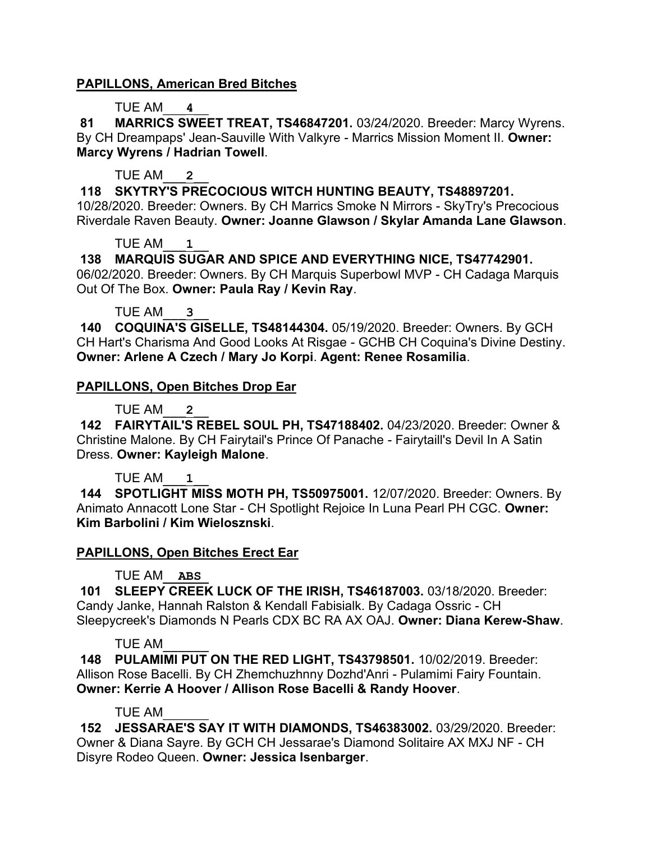## **PAPILLONS, American Bred Bitches**

## TUE AM\_\_\_**4**\_\_

**81 MARRICS SWEET TREAT, TS46847201.** 03/24/2020. Breeder: Marcy Wyrens. By CH Dreampaps' Jean-Sauville With Valkyre - Marrics Mission Moment II. **Owner: Marcy Wyrens / Hadrian Towell**.

# TUE AM\_\_\_**2**\_\_

**118 SKYTRY'S PRECOCIOUS WITCH HUNTING BEAUTY, TS48897201.**  10/28/2020. Breeder: Owners. By CH Marrics Smoke N Mirrors - SkyTry's Precocious Riverdale Raven Beauty. **Owner: Joanne Glawson / Skylar Amanda Lane Glawson**.

## TUE AM\_\_\_**1**\_\_

**138 MARQUIS SUGAR AND SPICE AND EVERYTHING NICE, TS47742901.**  06/02/2020. Breeder: Owners. By CH Marquis Superbowl MVP - CH Cadaga Marquis Out Of The Box. **Owner: Paula Ray / Kevin Ray**.

TUE AM\_\_\_**3**\_\_

**140 COQUINA'S GISELLE, TS48144304.** 05/19/2020. Breeder: Owners. By GCH CH Hart's Charisma And Good Looks At Risgae - GCHB CH Coquina's Divine Destiny. **Owner: Arlene A Czech / Mary Jo Korpi**. **Agent: Renee Rosamilia**.

## **PAPILLONS, Open Bitches Drop Ear**

TUE AM\_\_\_**2**\_\_

**142 FAIRYTAIL'S REBEL SOUL PH, TS47188402.** 04/23/2020. Breeder: Owner & Christine Malone. By CH Fairytail's Prince Of Panache - Fairytaill's Devil In A Satin Dress. **Owner: Kayleigh Malone**.

## TUE AM\_\_\_**1**\_\_

**144 SPOTLIGHT MISS MOTH PH, TS50975001.** 12/07/2020. Breeder: Owners. By Animato Annacott Lone Star - CH Spotlight Rejoice In Luna Pearl PH CGC. **Owner: Kim Barbolini / Kim Wielosznski**.

## **PAPILLONS, Open Bitches Erect Ear**

TUE AM\_\_**ABS**\_

**101 SLEEPY CREEK LUCK OF THE IRISH, TS46187003.** 03/18/2020. Breeder: Candy Janke, Hannah Ralston & Kendall Fabisialk. By Cadaga Ossric - CH Sleepycreek's Diamonds N Pearls CDX BC RA AX OAJ. **Owner: Diana Kerew-Shaw**.

## TUE AM\_\_\_\_\_\_

**148 PULAMIMI PUT ON THE RED LIGHT, TS43798501.** 10/02/2019. Breeder: Allison Rose Bacelli. By CH Zhemchuzhnny Dozhd'Anri - Pulamimi Fairy Fountain. **Owner: Kerrie A Hoover / Allison Rose Bacelli & Randy Hoover**.

## TUE AM\_\_\_\_\_\_

**152 JESSARAE'S SAY IT WITH DIAMONDS, TS46383002.** 03/29/2020. Breeder: Owner & Diana Sayre. By GCH CH Jessarae's Diamond Solitaire AX MXJ NF - CH Disyre Rodeo Queen. **Owner: Jessica Isenbarger**.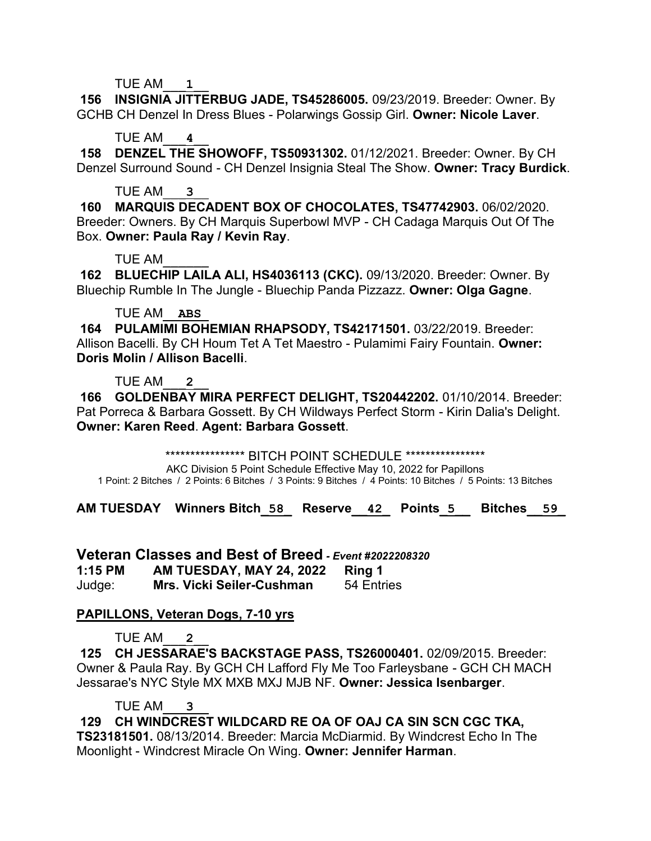TUE AM\_\_\_**1**\_\_

**156 INSIGNIA JITTERBUG JADE, TS45286005.** 09/23/2019. Breeder: Owner. By GCHB CH Denzel In Dress Blues - Polarwings Gossip Girl. **Owner: Nicole Laver**.

TUE AM\_\_\_**4**\_\_

**158 DENZEL THE SHOWOFF, TS50931302.** 01/12/2021. Breeder: Owner. By CH Denzel Surround Sound - CH Denzel Insignia Steal The Show. **Owner: Tracy Burdick**.

TUE AM\_\_\_**3**\_\_

**160 MARQUIS DECADENT BOX OF CHOCOLATES, TS47742903.** 06/02/2020. Breeder: Owners. By CH Marquis Superbowl MVP - CH Cadaga Marquis Out Of The Box. **Owner: Paula Ray / Kevin Ray**.

TUE AM\_\_\_\_\_\_

**162 BLUECHIP LAILA ALI, HS4036113 (CKC).** 09/13/2020. Breeder: Owner. By Bluechip Rumble In The Jungle - Bluechip Panda Pizzazz. **Owner: Olga Gagne**.

## TUE AM\_\_**ABS**\_

**164 PULAMIMI BOHEMIAN RHAPSODY, TS42171501.** 03/22/2019. Breeder: Allison Bacelli. By CH Houm Tet A Tet Maestro - Pulamimi Fairy Fountain. **Owner: Doris Molin / Allison Bacelli**.

TUE AM\_\_\_**2**\_\_

**166 GOLDENBAY MIRA PERFECT DELIGHT, TS20442202.** 01/10/2014. Breeder: Pat Porreca & Barbara Gossett. By CH Wildways Perfect Storm - Kirin Dalia's Delight. **Owner: Karen Reed**. **Agent: Barbara Gossett**.

\*\*\*\*\*\*\*\*\*\*\*\*\*\*\*\*\*\*\*\*\* BITCH POINT SCHEDULE \*\*\*\*\*\*\*\*\*\*\*\*\*\*\*\*\*

AKC Division 5 Point Schedule Effective May 10, 2022 for Papillons 1 Point: 2 Bitches / 2 Points: 6 Bitches / 3 Points: 9 Bitches / 4 Points: 10 Bitches / 5 Points: 13 Bitches

**AM TUESDAY Winners Bitch\_58\_ Reserve\_\_42\_ Points\_5\_\_ Bitches\_\_59\_**

**Veteran Classes and Best of Breed** *- Event #2022208320* **1:15 PM AM TUESDAY, MAY 24, 2022 Ring 1** Judge: **Mrs. Vicki Seiler-Cushman** 54 Entries

# **PAPILLONS, Veteran Dogs, 7-10 yrs**

TUE AM\_\_\_**2**\_\_

**125 CH JESSARAE'S BACKSTAGE PASS, TS26000401.** 02/09/2015. Breeder: Owner & Paula Ray. By GCH CH Lafford Fly Me Too Farleysbane - GCH CH MACH Jessarae's NYC Style MX MXB MXJ MJB NF. **Owner: Jessica Isenbarger**.

TUE AM\_\_\_**3**\_\_

**129 CH WINDCREST WILDCARD RE OA OF OAJ CA SIN SCN CGC TKA, TS23181501.** 08/13/2014. Breeder: Marcia McDiarmid. By Windcrest Echo In The Moonlight - Windcrest Miracle On Wing. **Owner: Jennifer Harman**.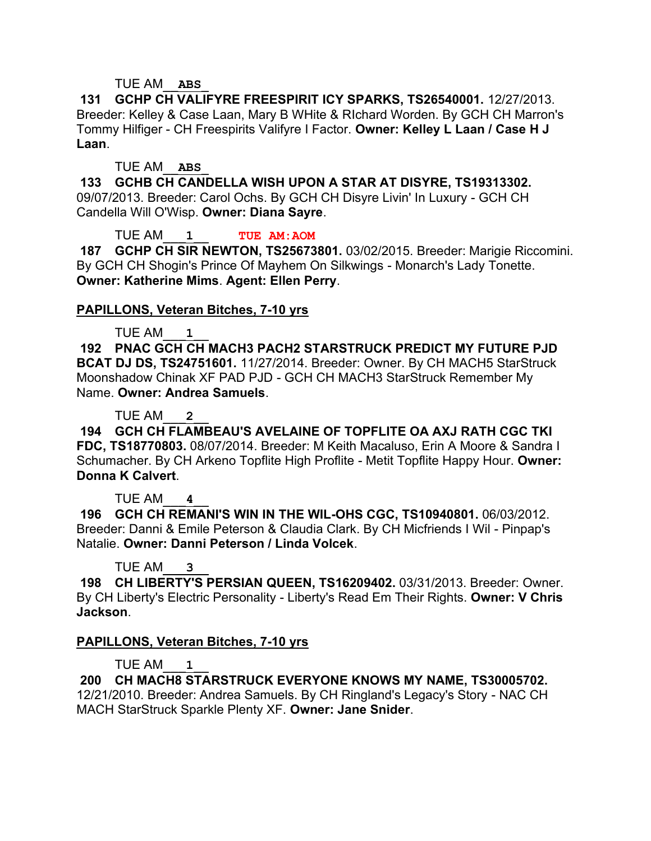### TUE AM\_\_**ABS**\_

**131 GCHP CH VALIFYRE FREESPIRIT ICY SPARKS, TS26540001.** 12/27/2013. Breeder: Kelley & Case Laan, Mary B WHite & RIchard Worden. By GCH CH Marron's Tommy Hilfiger - CH Freespirits Valifyre I Factor. **Owner: Kelley L Laan / Case H J Laan**.

#### TUE AM\_\_**ABS**\_

**133 GCHB CH CANDELLA WISH UPON A STAR AT DISYRE, TS19313302.**  09/07/2013. Breeder: Carol Ochs. By GCH CH Disyre Livin' In Luxury - GCH CH Candella Will O'Wisp. **Owner: Diana Sayre**.

TUE AM\_\_\_**1**\_\_ **TUE AM:AOM**

**187 GCHP CH SIR NEWTON, TS25673801.** 03/02/2015. Breeder: Marigie Riccomini. By GCH CH Shogin's Prince Of Mayhem On Silkwings - Monarch's Lady Tonette. **Owner: Katherine Mims**. **Agent: Ellen Perry**.

### **PAPILLONS, Veteran Bitches, 7-10 yrs**

### TUE AM\_\_\_**1**\_\_

**192 PNAC GCH CH MACH3 PACH2 STARSTRUCK PREDICT MY FUTURE PJD BCAT DJ DS, TS24751601.** 11/27/2014. Breeder: Owner. By CH MACH5 StarStruck Moonshadow Chinak XF PAD PJD - GCH CH MACH3 StarStruck Remember My Name. **Owner: Andrea Samuels**.

TUE AM\_\_\_**2**\_\_

**194 GCH CH FLAMBEAU'S AVELAINE OF TOPFLITE OA AXJ RATH CGC TKI FDC, TS18770803.** 08/07/2014. Breeder: M Keith Macaluso, Erin A Moore & Sandra I Schumacher. By CH Arkeno Topflite High Proflite - Metit Topflite Happy Hour. **Owner: Donna K Calvert**.

TUE AM\_\_\_**4**\_\_

**196 GCH CH REMANI'S WIN IN THE WIL-OHS CGC, TS10940801.** 06/03/2012. Breeder: Danni & Emile Peterson & Claudia Clark. By CH Micfriends I Wil - Pinpap's Natalie. **Owner: Danni Peterson / Linda Volcek**.

TUE AM\_\_\_**3**\_\_

**198 CH LIBERTY'S PERSIAN QUEEN, TS16209402.** 03/31/2013. Breeder: Owner. By CH Liberty's Electric Personality - Liberty's Read Em Their Rights. **Owner: V Chris Jackson**.

## **PAPILLONS, Veteran Bitches, 7-10 yrs**

TUE AM\_\_\_**1**\_\_

**200 CH MACH8 STARSTRUCK EVERYONE KNOWS MY NAME, TS30005702.**  12/21/2010. Breeder: Andrea Samuels. By CH Ringland's Legacy's Story - NAC CH MACH StarStruck Sparkle Plenty XF. **Owner: Jane Snider**.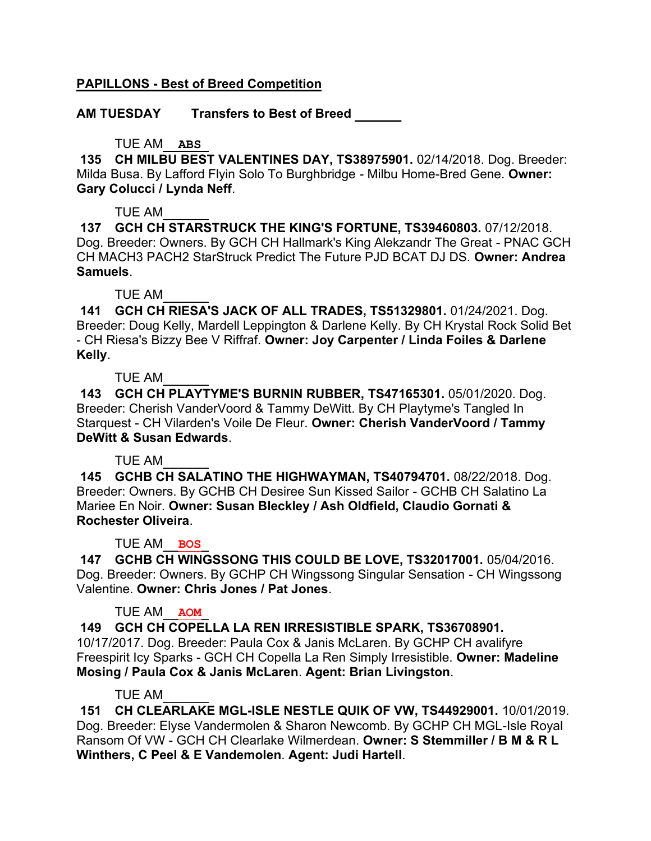## **PAPILLONS - Best of Breed Competition**

**AM TUESDAY Transfers to Best of Breed \_\_\_\_\_\_**

### TUE AM\_\_**ABS**\_

**135 CH MILBU BEST VALENTINES DAY, TS38975901.** 02/14/2018. Dog. Breeder: Milda Busa. By Lafford Flyin Solo To Burghbridge - Milbu Home-Bred Gene. **Owner: Gary Colucci / Lynda Neff**.

TUE AM\_\_\_\_\_\_

**137 GCH CH STARSTRUCK THE KING'S FORTUNE, TS39460803.** 07/12/2018. Dog. Breeder: Owners. By GCH CH Hallmark's King Alekzandr The Great - PNAC GCH CH MACH3 PACH2 StarStruck Predict The Future PJD BCAT DJ DS. **Owner: Andrea Samuels**.

TUE AM\_\_\_\_\_\_

**141 GCH CH RIESA'S JACK OF ALL TRADES, TS51329801.** 01/24/2021. Dog. Breeder: Doug Kelly, Mardell Leppington & Darlene Kelly. By CH Krystal Rock Solid Bet - CH Riesa's Bizzy Bee V Riffraf. **Owner: Joy Carpenter / Linda Foiles & Darlene Kelly**.

TUE AM\_\_\_\_\_\_

**143 GCH CH PLAYTYME'S BURNIN RUBBER, TS47165301.** 05/01/2020. Dog. Breeder: Cherish VanderVoord & Tammy DeWitt. By CH Playtyme's Tangled In Starquest - CH Vilarden's Voile De Fleur. **Owner: Cherish VanderVoord / Tammy DeWitt & Susan Edwards**.

## TUE AM\_\_\_\_\_\_

**145 GCHB CH SALATINO THE HIGHWAYMAN, TS40794701.** 08/22/2018. Dog. Breeder: Owners. By GCHB CH Desiree Sun Kissed Sailor - GCHB CH Salatino La Mariee En Noir. **Owner: Susan Bleckley / Ash Oldfield, Claudio Gornati & Rochester Oliveira**.

## TUE AM\_\_**BOS**\_

**147 GCHB CH WINGSSONG THIS COULD BE LOVE, TS32017001.** 05/04/2016. Dog. Breeder: Owners. By GCHP CH Wingssong Singular Sensation - CH Wingssong Valentine. **Owner: Chris Jones / Pat Jones**.

## TUE AM\_\_**AOM**\_

**149 GCH CH COPELLA LA REN IRRESISTIBLE SPARK, TS36708901.**  10/17/2017. Dog. Breeder: Paula Cox & Janis McLaren. By GCHP CH avalifyre Freespirit Icy Sparks - GCH CH Copella La Ren Simply Irresistible. **Owner: Madeline Mosing / Paula Cox & Janis McLaren**. **Agent: Brian Livingston**.

#### TUE AM\_\_\_\_\_\_

**151 CH CLEARLAKE MGL-ISLE NESTLE QUIK OF VW, TS44929001.** 10/01/2019. Dog. Breeder: Elyse Vandermolen & Sharon Newcomb. By GCHP CH MGL-Isle Royal Ransom Of VW - GCH CH Clearlake Wilmerdean. **Owner: S Stemmiller / B M & R L Winthers, C Peel & E Vandemolen**. **Agent: Judi Hartell**.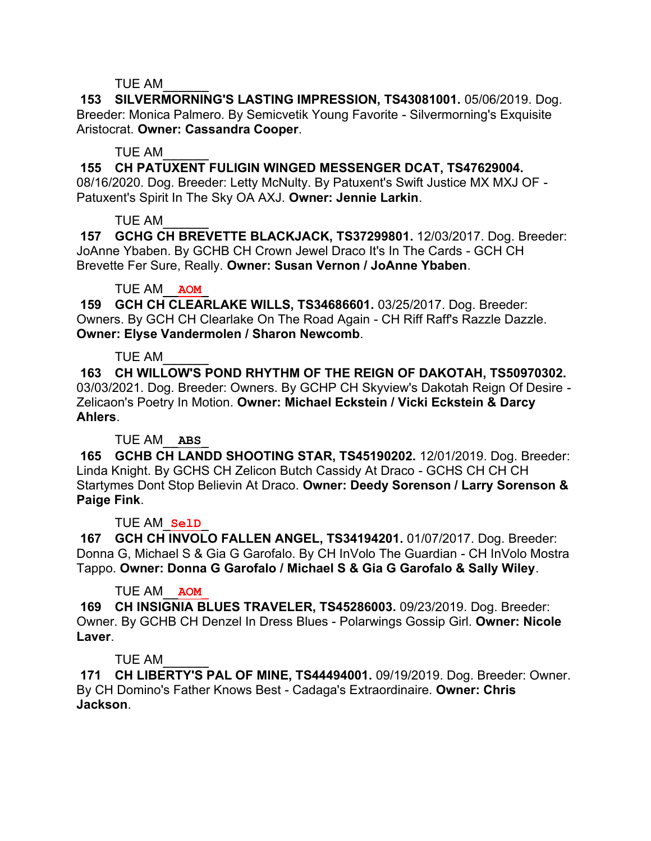#### TUE AM\_\_\_\_\_\_

**153 SILVERMORNING'S LASTING IMPRESSION, TS43081001.** 05/06/2019. Dog. Breeder: Monica Palmero. By Semicvetik Young Favorite - Silvermorning's Exquisite Aristocrat. **Owner: Cassandra Cooper**.

### TUE AM\_\_\_\_\_\_

**155 CH PATUXENT FULIGIN WINGED MESSENGER DCAT, TS47629004.** 

08/16/2020. Dog. Breeder: Letty McNulty. By Patuxent's Swift Justice MX MXJ OF - Patuxent's Spirit In The Sky OA AXJ. **Owner: Jennie Larkin**.

## TUE AM\_\_\_\_\_\_

**157 GCHG CH BREVETTE BLACKJACK, TS37299801.** 12/03/2017. Dog. Breeder: JoAnne Ybaben. By GCHB CH Crown Jewel Draco It's In The Cards - GCH CH Brevette Fer Sure, Really. **Owner: Susan Vernon / JoAnne Ybaben**.

### TUE AM\_\_**AOM**\_

**159 GCH CH CLEARLAKE WILLS, TS34686601.** 03/25/2017. Dog. Breeder: Owners. By GCH CH Clearlake On The Road Again - CH Riff Raff's Razzle Dazzle. **Owner: Elyse Vandermolen / Sharon Newcomb**.

## TUE AM\_\_\_\_\_\_

**163 CH WILLOW'S POND RHYTHM OF THE REIGN OF DAKOTAH, TS50970302.**  03/03/2021. Dog. Breeder: Owners. By GCHP CH Skyview's Dakotah Reign Of Desire - Zelicaon's Poetry In Motion. **Owner: Michael Eckstein / Vicki Eckstein & Darcy Ahlers**.

## TUE AM\_\_**ABS**\_

**165 GCHB CH LANDD SHOOTING STAR, TS45190202.** 12/01/2019. Dog. Breeder: Linda Knight. By GCHS CH Zelicon Butch Cassidy At Draco - GCHS CH CH CH Startymes Dont Stop Believin At Draco. **Owner: Deedy Sorenson / Larry Sorenson & Paige Fink**.

#### TUE AM\_**SelD**\_

**167 GCH CH INVOLO FALLEN ANGEL, TS34194201.** 01/07/2017. Dog. Breeder: Donna G, Michael S & Gia G Garofalo. By CH InVolo The Guardian - CH InVolo Mostra Tappo. **Owner: Donna G Garofalo / Michael S & Gia G Garofalo & Sally Wiley**.

#### TUE AM\_\_**AOM**\_

**169 CH INSIGNIA BLUES TRAVELER, TS45286003.** 09/23/2019. Dog. Breeder: Owner. By GCHB CH Denzel In Dress Blues - Polarwings Gossip Girl. **Owner: Nicole Laver**.

## TUE AM\_\_\_\_\_\_

**171 CH LIBERTY'S PAL OF MINE, TS44494001.** 09/19/2019. Dog. Breeder: Owner. By CH Domino's Father Knows Best - Cadaga's Extraordinaire. **Owner: Chris Jackson**.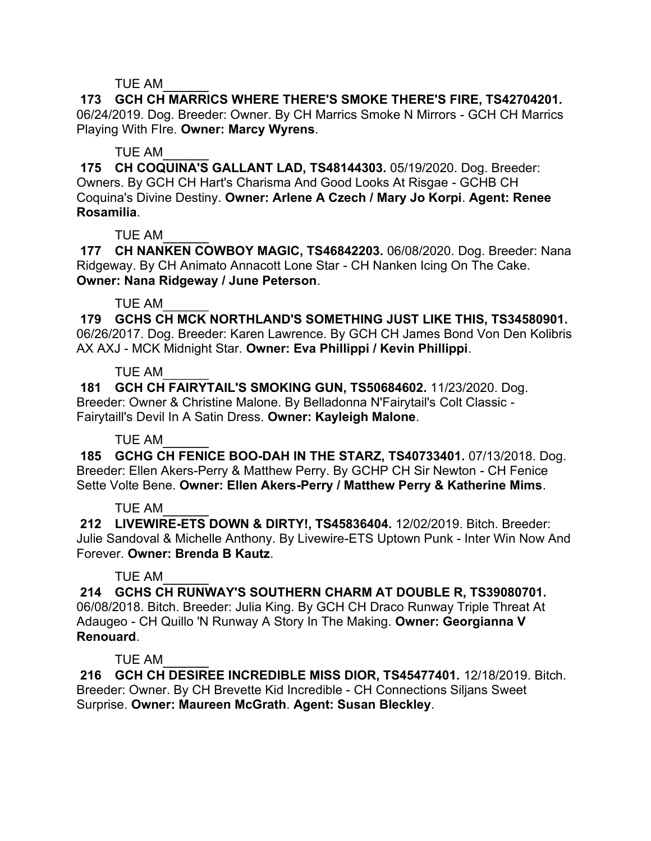### TUE AM\_\_\_\_\_\_

**173 GCH CH MARRICS WHERE THERE'S SMOKE THERE'S FIRE, TS42704201.**  06/24/2019. Dog. Breeder: Owner. By CH Marrics Smoke N Mirrors - GCH CH Marrics Playing With FIre. **Owner: Marcy Wyrens**.

### TUE AM\_\_\_\_\_\_

**175 CH COQUINA'S GALLANT LAD, TS48144303.** 05/19/2020. Dog. Breeder: Owners. By GCH CH Hart's Charisma And Good Looks At Risgae - GCHB CH Coquina's Divine Destiny. **Owner: Arlene A Czech / Mary Jo Korpi**. **Agent: Renee Rosamilia**.

## TUE AM\_\_\_\_\_\_

**177 CH NANKEN COWBOY MAGIC, TS46842203.** 06/08/2020. Dog. Breeder: Nana Ridgeway. By CH Animato Annacott Lone Star - CH Nanken Icing On The Cake. **Owner: Nana Ridgeway / June Peterson**.

### TUE AM\_\_\_\_\_\_

**179 GCHS CH MCK NORTHLAND'S SOMETHING JUST LIKE THIS, TS34580901.**  06/26/2017. Dog. Breeder: Karen Lawrence. By GCH CH James Bond Von Den Kolibris AX AXJ - MCK Midnight Star. **Owner: Eva Phillippi / Kevin Phillippi**.

### TUE AM\_\_\_\_\_\_

**181 GCH CH FAIRYTAIL'S SMOKING GUN, TS50684602.** 11/23/2020. Dog. Breeder: Owner & Christine Malone. By Belladonna N'Fairytail's Colt Classic - Fairytaill's Devil In A Satin Dress. **Owner: Kayleigh Malone**.

## TUE AM\_\_\_\_\_\_

**185 GCHG CH FENICE BOO-DAH IN THE STARZ, TS40733401.** 07/13/2018. Dog. Breeder: Ellen Akers-Perry & Matthew Perry. By GCHP CH Sir Newton - CH Fenice Sette Volte Bene. **Owner: Ellen Akers-Perry / Matthew Perry & Katherine Mims**.

## TUE AM\_\_\_\_\_\_

**212 LIVEWIRE-ETS DOWN & DIRTY!, TS45836404.** 12/02/2019. Bitch. Breeder: Julie Sandoval & Michelle Anthony. By Livewire-ETS Uptown Punk - Inter Win Now And Forever. **Owner: Brenda B Kautz**.

## TUE AM\_\_\_\_\_\_

**214 GCHS CH RUNWAY'S SOUTHERN CHARM AT DOUBLE R, TS39080701.**  06/08/2018. Bitch. Breeder: Julia King. By GCH CH Draco Runway Triple Threat At Adaugeo - CH Quillo 'N Runway A Story In The Making. **Owner: Georgianna V Renouard**.

## TUE AM\_\_\_\_\_\_

**216 GCH CH DESIREE INCREDIBLE MISS DIOR, TS45477401.** 12/18/2019. Bitch. Breeder: Owner. By CH Brevette Kid Incredible - CH Connections Siljans Sweet Surprise. **Owner: Maureen McGrath**. **Agent: Susan Bleckley**.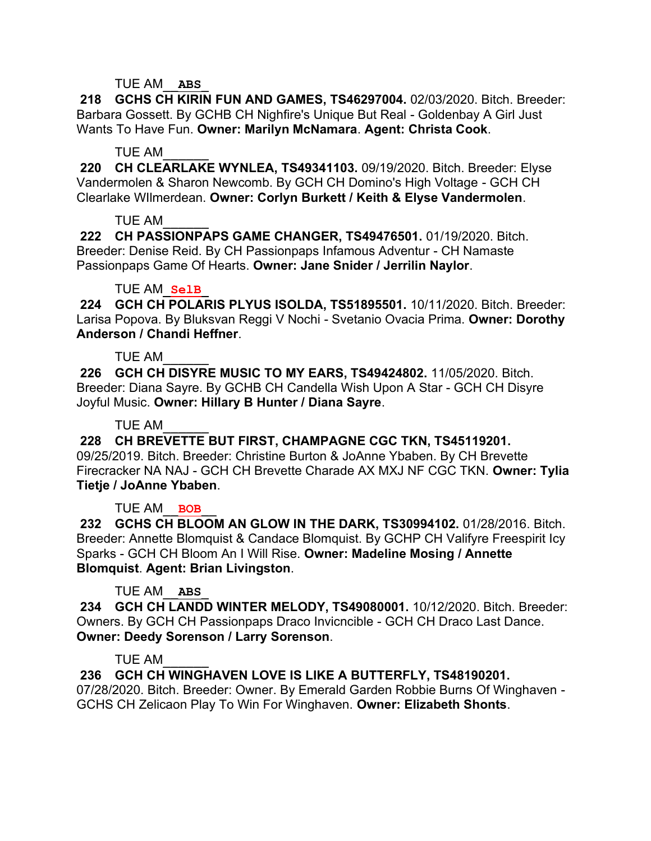### TUE AM\_\_**ABS**\_

**218 GCHS CH KIRIN FUN AND GAMES, TS46297004.** 02/03/2020. Bitch. Breeder: Barbara Gossett. By GCHB CH Nighfire's Unique But Real - Goldenbay A Girl Just Wants To Have Fun. **Owner: Marilyn McNamara**. **Agent: Christa Cook**.

#### TUE AM\_\_\_\_\_\_

**220 CH CLEARLAKE WYNLEA, TS49341103.** 09/19/2020. Bitch. Breeder: Elyse Vandermolen & Sharon Newcomb. By GCH CH Domino's High Voltage - GCH CH Clearlake WIlmerdean. **Owner: Corlyn Burkett / Keith & Elyse Vandermolen**.

### TUE AM\_\_\_\_\_\_

**222 CH PASSIONPAPS GAME CHANGER, TS49476501.** 01/19/2020. Bitch. Breeder: Denise Reid. By CH Passionpaps Infamous Adventur - CH Namaste Passionpaps Game Of Hearts. **Owner: Jane Snider / Jerrilin Naylor**.

### TUE AM\_**SelB**\_

**224 GCH CH POLARIS PLYUS ISOLDA, TS51895501.** 10/11/2020. Bitch. Breeder: Larisa Popova. By Bluksvan Reggi V Nochi - Svetanio Ovacia Prima. **Owner: Dorothy Anderson / Chandi Heffner**.

## TUE AM\_\_\_\_\_\_

**226 GCH CH DISYRE MUSIC TO MY EARS, TS49424802.** 11/05/2020. Bitch. Breeder: Diana Sayre. By GCHB CH Candella Wish Upon A Star - GCH CH Disyre Joyful Music. **Owner: Hillary B Hunter / Diana Sayre**.

TUE AM\_\_\_\_\_\_

**228 CH BREVETTE BUT FIRST, CHAMPAGNE CGC TKN, TS45119201.**  09/25/2019. Bitch. Breeder: Christine Burton & JoAnne Ybaben. By CH Brevette Firecracker NA NAJ - GCH CH Brevette Charade AX MXJ NF CGC TKN. **Owner: Tylia** 

## **Tietje / JoAnne Ybaben**.

## TUE AM\_\_**BOB**\_\_

**232 GCHS CH BLOOM AN GLOW IN THE DARK, TS30994102.** 01/28/2016. Bitch. Breeder: Annette Blomquist & Candace Blomquist. By GCHP CH Valifyre Freespirit Icy Sparks - GCH CH Bloom An I Will Rise. **Owner: Madeline Mosing / Annette Blomquist**. **Agent: Brian Livingston**.

## TUE AM\_\_**ABS**\_

**234 GCH CH LANDD WINTER MELODY, TS49080001.** 10/12/2020. Bitch. Breeder: Owners. By GCH CH Passionpaps Draco Invicncible - GCH CH Draco Last Dance. **Owner: Deedy Sorenson / Larry Sorenson**.

#### TUE AM\_\_\_\_\_\_

**236 GCH CH WINGHAVEN LOVE IS LIKE A BUTTERFLY, TS48190201.** 

07/28/2020. Bitch. Breeder: Owner. By Emerald Garden Robbie Burns Of Winghaven - GCHS CH Zelicaon Play To Win For Winghaven. **Owner: Elizabeth Shonts**.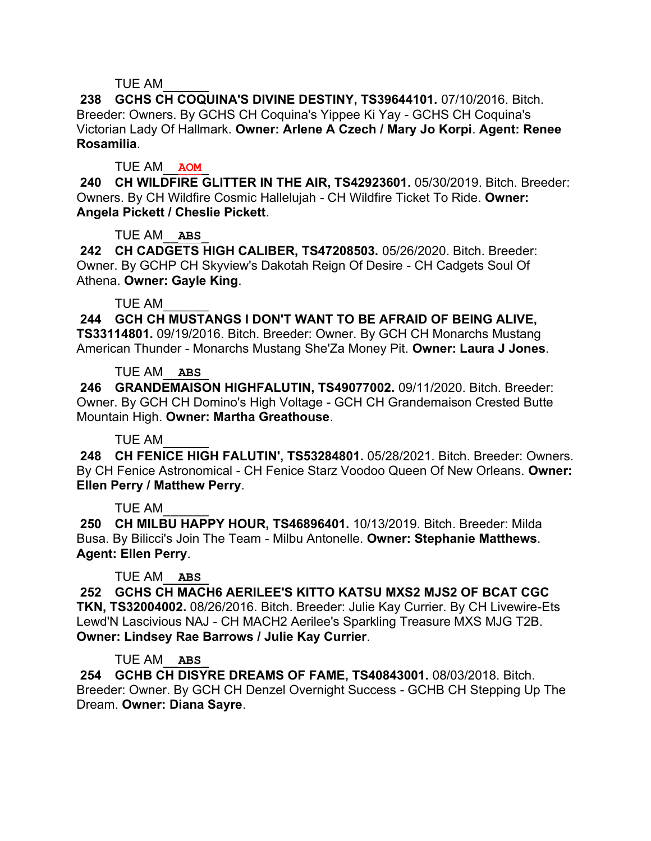### TUE AM\_\_\_\_\_\_

**238 GCHS CH COQUINA'S DIVINE DESTINY, TS39644101.** 07/10/2016. Bitch. Breeder: Owners. By GCHS CH Coquina's Yippee Ki Yay - GCHS CH Coquina's Victorian Lady Of Hallmark. **Owner: Arlene A Czech / Mary Jo Korpi**. **Agent: Renee Rosamilia**.

### TUE AM\_\_**AOM**\_

**240 CH WILDFIRE GLITTER IN THE AIR, TS42923601.** 05/30/2019. Bitch. Breeder: Owners. By CH Wildfire Cosmic Hallelujah - CH Wildfire Ticket To Ride. **Owner: Angela Pickett / Cheslie Pickett**.

## TUE AM\_\_**ABS**\_

**242 CH CADGETS HIGH CALIBER, TS47208503.** 05/26/2020. Bitch. Breeder: Owner. By GCHP CH Skyview's Dakotah Reign Of Desire - CH Cadgets Soul Of Athena. **Owner: Gayle King**.

### TUE AM\_\_\_\_\_\_

**244 GCH CH MUSTANGS I DON'T WANT TO BE AFRAID OF BEING ALIVE, TS33114801.** 09/19/2016. Bitch. Breeder: Owner. By GCH CH Monarchs Mustang American Thunder - Monarchs Mustang She'Za Money Pit. **Owner: Laura J Jones**.

### TUE AM\_\_**ABS**\_

**246 GRANDEMAISON HIGHFALUTIN, TS49077002.** 09/11/2020. Bitch. Breeder: Owner. By GCH CH Domino's High Voltage - GCH CH Grandemaison Crested Butte Mountain High. **Owner: Martha Greathouse**.

## TUE AM\_\_\_\_\_\_

**248 CH FENICE HIGH FALUTIN', TS53284801.** 05/28/2021. Bitch. Breeder: Owners. By CH Fenice Astronomical - CH Fenice Starz Voodoo Queen Of New Orleans. **Owner: Ellen Perry / Matthew Perry**.

## TUE AM\_\_\_\_\_\_

**250 CH MILBU HAPPY HOUR, TS46896401.** 10/13/2019. Bitch. Breeder: Milda Busa. By Bilicci's Join The Team - Milbu Antonelle. **Owner: Stephanie Matthews**. **Agent: Ellen Perry**.

## TUE AM\_\_**ABS**\_

**252 GCHS CH MACH6 AERILEE'S KITTO KATSU MXS2 MJS2 OF BCAT CGC TKN, TS32004002.** 08/26/2016. Bitch. Breeder: Julie Kay Currier. By CH Livewire-Ets Lewd'N Lascivious NAJ - CH MACH2 Aerilee's Sparkling Treasure MXS MJG T2B. **Owner: Lindsey Rae Barrows / Julie Kay Currier**.

#### TUE AM\_\_**ABS**\_

**254 GCHB CH DISYRE DREAMS OF FAME, TS40843001.** 08/03/2018. Bitch. Breeder: Owner. By GCH CH Denzel Overnight Success - GCHB CH Stepping Up The Dream. **Owner: Diana Sayre**.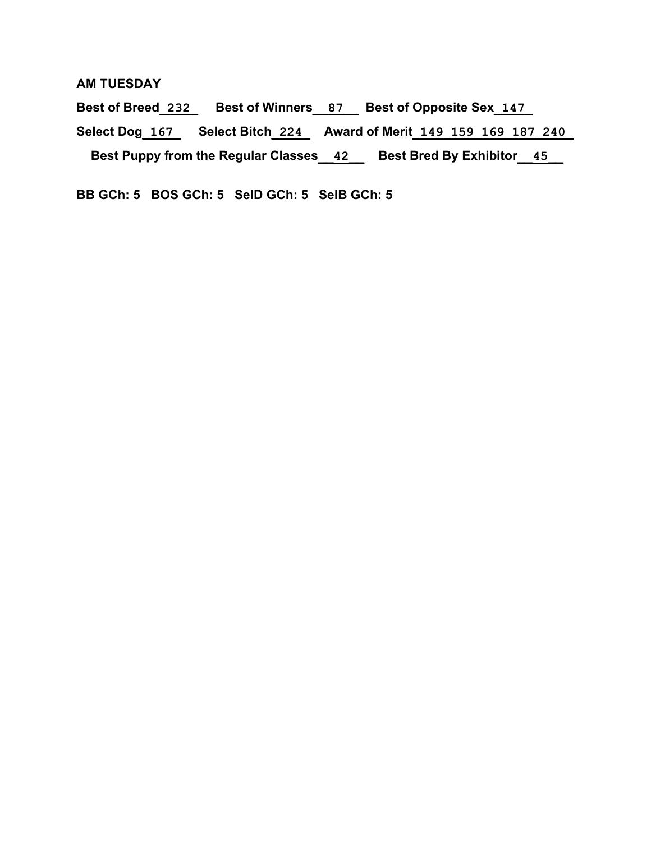#### **AM TUESDAY**

**Best of Breed\_232\_ Best of Winners\_\_87\_\_ Best of Opposite Sex\_147\_ Select Dog\_167\_ Select Bitch\_224\_ Award of Merit\_149\_159\_169\_187\_240\_ Best Puppy from the Regular Classes\_\_42\_\_ Best Bred By Exhibitor\_\_45\_\_**

**BB GCh: 5 BOS GCh: 5 SelD GCh: 5 SelB GCh: 5**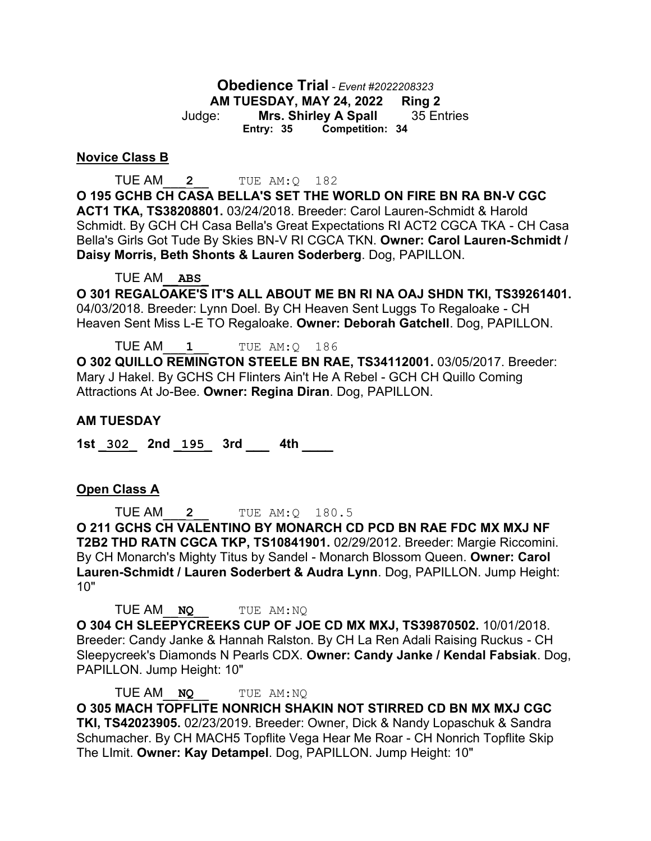**Obedience Trial** *- Event #2022208323* **AM TUESDAY, MAY 24, 2022 Ring 2** Judge: **Mrs. Shirley A Spall** 35 Entries **Entry: 35 Competition: 34**

#### **Novice Class B**

TUE AM\_\_\_**2**\_\_ TUE AM:Q 182

**O 195 GCHB CH CASA BELLA'S SET THE WORLD ON FIRE BN RA BN-V CGC ACT1 TKA, TS38208801.** 03/24/2018. Breeder: Carol Lauren-Schmidt & Harold Schmidt. By GCH CH Casa Bella's Great Expectations RI ACT2 CGCA TKA - CH Casa Bella's Girls Got Tude By Skies BN-V RI CGCA TKN. **Owner: Carol Lauren-Schmidt / Daisy Morris, Beth Shonts & Lauren Soderberg**. Dog, PAPILLON.

TUE AM\_\_**ABS**\_

**O 301 REGALOAKE'S IT'S ALL ABOUT ME BN RI NA OAJ SHDN TKI, TS39261401.**  04/03/2018. Breeder: Lynn Doel. By CH Heaven Sent Luggs To Regaloake - CH Heaven Sent Miss L-E TO Regaloake. **Owner: Deborah Gatchell**. Dog, PAPILLON.

TUE AM\_\_\_**1**\_\_ TUE AM:Q 186 **O 302 QUILLO REMINGTON STEELE BN RAE, TS34112001.** 03/05/2017. Breeder: Mary J Hakel. By GCHS CH Flinters Ain't He A Rebel - GCH CH Quillo Coming Attractions At Jo-Bee. **Owner: Regina Diran**. Dog, PAPILLON.

#### **AM TUESDAY**

**1st \_302\_ 2nd \_195\_ 3rd \_\_\_ 4th \_\_\_\_** 

#### **Open Class A**

TUE AM\_\_\_**2**\_\_ TUE AM:Q 180.5 **O 211 GCHS CH VALENTINO BY MONARCH CD PCD BN RAE FDC MX MXJ NF T2B2 THD RATN CGCA TKP, TS10841901.** 02/29/2012. Breeder: Margie Riccomini. By CH Monarch's Mighty Titus by Sandel - Monarch Blossom Queen. **Owner: Carol Lauren-Schmidt / Lauren Soderbert & Audra Lynn**. Dog, PAPILLON. Jump Height: 10"

TUE AM\_\_**NQ**\_\_ TUE AM:NQ **O 304 CH SLEEPYCREEKS CUP OF JOE CD MX MXJ, TS39870502.** 10/01/2018. Breeder: Candy Janke & Hannah Ralston. By CH La Ren Adali Raising Ruckus - CH Sleepycreek's Diamonds N Pearls CDX. **Owner: Candy Janke / Kendal Fabsiak**. Dog, PAPILLON. Jump Height: 10"

TUE AM\_\_**NQ**\_\_ TUE AM:NQ **O 305 MACH TOPFLITE NONRICH SHAKIN NOT STIRRED CD BN MX MXJ CGC TKI, TS42023905.** 02/23/2019. Breeder: Owner, Dick & Nandy Lopaschuk & Sandra Schumacher. By CH MACH5 Topflite Vega Hear Me Roar - CH Nonrich Topflite Skip The LImit. **Owner: Kay Detampel**. Dog, PAPILLON. Jump Height: 10"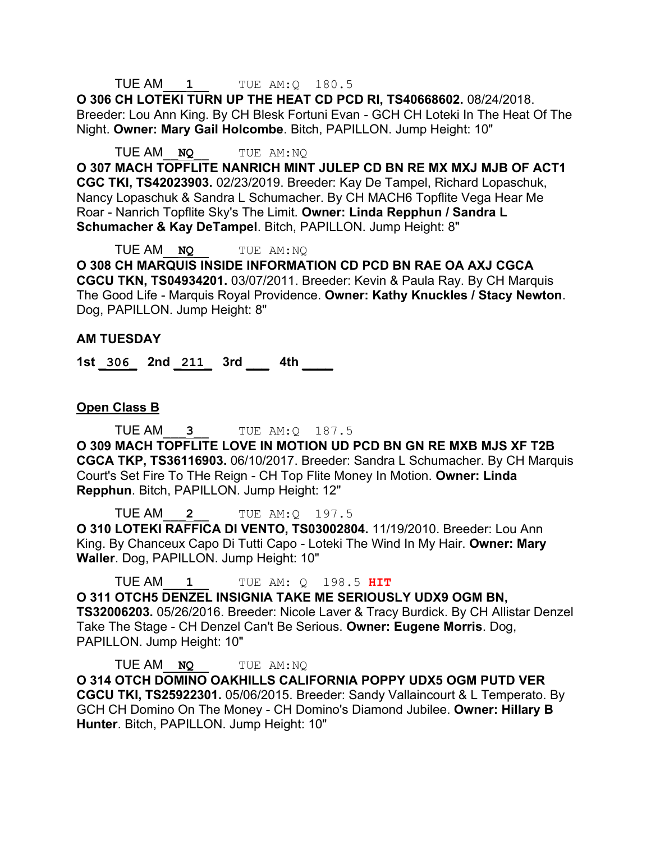## TUE AM\_\_\_**1**\_\_ TUE AM:Q 180.5

**O 306 CH LOTEKI TURN UP THE HEAT CD PCD RI, TS40668602.** 08/24/2018. Breeder: Lou Ann King. By CH Blesk Fortuni Evan - GCH CH Loteki In The Heat Of The Night. **Owner: Mary Gail Holcombe**. Bitch, PAPILLON. Jump Height: 10"

TUE AM\_\_**NQ**\_\_ TUE AM:NQ

**O 307 MACH TOPFLITE NANRICH MINT JULEP CD BN RE MX MXJ MJB OF ACT1 CGC TKI, TS42023903.** 02/23/2019. Breeder: Kay De Tampel, Richard Lopaschuk, Nancy Lopaschuk & Sandra L Schumacher. By CH MACH6 Topflite Vega Hear Me Roar - Nanrich Topflite Sky's The Limit. **Owner: Linda Repphun / Sandra L Schumacher & Kay DeTampel**. Bitch, PAPILLON. Jump Height: 8"

TUE AM\_\_**NQ**\_\_ TUE AM:NQ **O 308 CH MARQUIS INSIDE INFORMATION CD PCD BN RAE OA AXJ CGCA CGCU TKN, TS04934201.** 03/07/2011. Breeder: Kevin & Paula Ray. By CH Marquis The Good Life - Marquis Royal Providence. **Owner: Kathy Knuckles / Stacy Newton**. Dog, PAPILLON. Jump Height: 8"

#### **AM TUESDAY**

**1st \_306\_ 2nd \_211\_ 3rd \_\_\_ 4th \_\_\_\_** 

### **Open Class B**

TUE AM\_\_\_**3**\_\_ TUE AM:Q 187.5 **O 309 MACH TOPFLITE LOVE IN MOTION UD PCD BN GN RE MXB MJS XF T2B CGCA TKP, TS36116903.** 06/10/2017. Breeder: Sandra L Schumacher. By CH Marquis Court's Set Fire To THe Reign - CH Top Flite Money In Motion. **Owner: Linda Repphun**. Bitch, PAPILLON. Jump Height: 12"

TUE AM\_\_\_**2**\_\_ TUE AM:Q 197.5 **O 310 LOTEKI RAFFICA DI VENTO, TS03002804.** 11/19/2010. Breeder: Lou Ann King. By Chanceux Capo Di Tutti Capo - Loteki The Wind In My Hair. **Owner: Mary Waller**. Dog, PAPILLON. Jump Height: 10"

TUE AM\_\_\_**1**\_\_ TUE AM: Q 198.5 **HIT**

**O 311 OTCH5 DENZEL INSIGNIA TAKE ME SERIOUSLY UDX9 OGM BN, TS32006203.** 05/26/2016. Breeder: Nicole Laver & Tracy Burdick. By CH Allistar Denzel Take The Stage - CH Denzel Can't Be Serious. **Owner: Eugene Morris**. Dog, PAPILLON. Jump Height: 10"

TUE AM\_\_**NQ**\_\_ TUE AM:NQ **O 314 OTCH DOMINO OAKHILLS CALIFORNIA POPPY UDX5 OGM PUTD VER CGCU TKI, TS25922301.** 05/06/2015. Breeder: Sandy Vallaincourt & L Temperato. By GCH CH Domino On The Money - CH Domino's Diamond Jubilee. **Owner: Hillary B Hunter**. Bitch, PAPILLON. Jump Height: 10"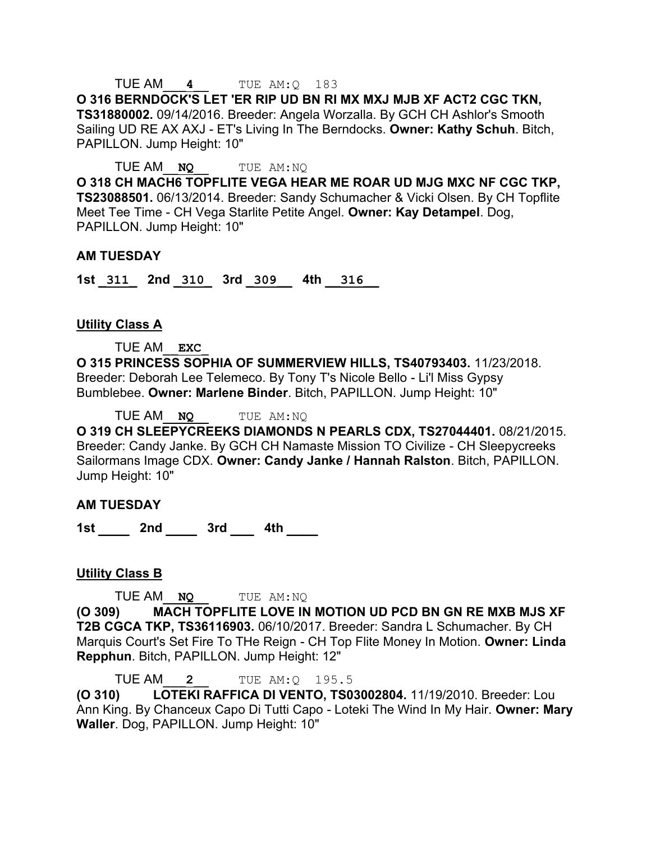### TUE AM\_\_\_**4**\_\_ TUE AM:Q 183

**O 316 BERNDOCK'S LET 'ER RIP UD BN RI MX MXJ MJB XF ACT2 CGC TKN, TS31880002.** 09/14/2016. Breeder: Angela Worzalla. By GCH CH Ashlor's Smooth Sailing UD RE AX AXJ - ET's Living In The Berndocks. **Owner: Kathy Schuh**. Bitch, PAPILLON. Jump Height: 10"

TUE AM\_\_**NQ**\_\_ TUE AM:NQ

**O 318 CH MACH6 TOPFLITE VEGA HEAR ME ROAR UD MJG MXC NF CGC TKP, TS23088501.** 06/13/2014. Breeder: Sandy Schumacher & Vicki Olsen. By CH Topflite Meet Tee Time - CH Vega Starlite Petite Angel. **Owner: Kay Detampel**. Dog, PAPILLON. Jump Height: 10"

#### **AM TUESDAY**

**1st \_311\_ 2nd \_310\_ 3rd \_309\_\_ 4th \_\_316\_\_** 

#### **Utility Class A**

TUE AM\_\_**EXC**\_

**O 315 PRINCESS SOPHIA OF SUMMERVIEW HILLS, TS40793403.** 11/23/2018. Breeder: Deborah Lee Telemeco. By Tony T's Nicole Bello - Li'l Miss Gypsy Bumblebee. **Owner: Marlene Binder**. Bitch, PAPILLON. Jump Height: 10"

TUE AM\_\_**NQ**\_\_ TUE AM:NQ

**O 319 CH SLEEPYCREEKS DIAMONDS N PEARLS CDX, TS27044401.** 08/21/2015. Breeder: Candy Janke. By GCH CH Namaste Mission TO Civilize - CH Sleepycreeks Sailormans Image CDX. **Owner: Candy Janke / Hannah Ralston**. Bitch, PAPILLON. Jump Height: 10"

#### **AM TUESDAY**

**1st \_\_\_\_ 2nd \_\_\_\_ 3rd \_\_\_ 4th \_\_\_\_** 

**Utility Class B**

TUE AM\_\_**NQ**\_\_ TUE AM:NQ

**(O 309) MACH TOPFLITE LOVE IN MOTION UD PCD BN GN RE MXB MJS XF T2B CGCA TKP, TS36116903.** 06/10/2017. Breeder: Sandra L Schumacher. By CH Marquis Court's Set Fire To THe Reign - CH Top Flite Money In Motion. **Owner: Linda Repphun**. Bitch, PAPILLON. Jump Height: 12"

TUE AM\_\_\_**2**\_\_ TUE AM:Q 195.5

**(O 310) LOTEKI RAFFICA DI VENTO, TS03002804.** 11/19/2010. Breeder: Lou Ann King. By Chanceux Capo Di Tutti Capo - Loteki The Wind In My Hair. **Owner: Mary Waller**. Dog, PAPILLON. Jump Height: 10"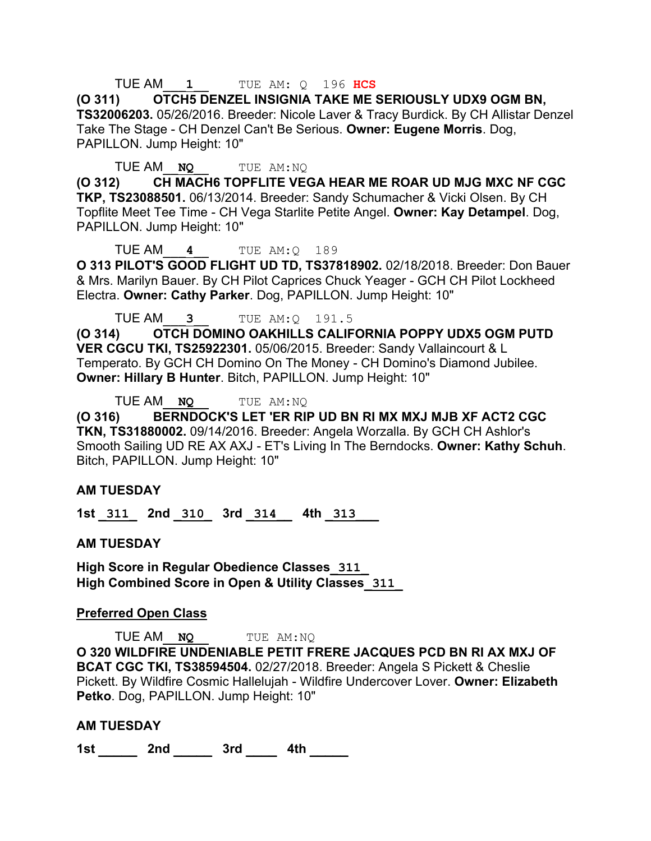#### TUE AM\_\_\_**1**\_\_ TUE AM: Q 196 **HCS**

**(O 311) OTCH5 DENZEL INSIGNIA TAKE ME SERIOUSLY UDX9 OGM BN, TS32006203.** 05/26/2016. Breeder: Nicole Laver & Tracy Burdick. By CH Allistar Denzel Take The Stage - CH Denzel Can't Be Serious. **Owner: Eugene Morris**. Dog, PAPILLON. Jump Height: 10"

TUE AM\_\_**NQ**\_\_ TUE AM:NQ

**(O 312) CH MACH6 TOPFLITE VEGA HEAR ME ROAR UD MJG MXC NF CGC TKP, TS23088501.** 06/13/2014. Breeder: Sandy Schumacher & Vicki Olsen. By CH Topflite Meet Tee Time - CH Vega Starlite Petite Angel. **Owner: Kay Detampel**. Dog, PAPILLON. Jump Height: 10"

TUE AM\_\_\_**4**\_\_ TUE AM:Q 189

**O 313 PILOT'S GOOD FLIGHT UD TD, TS37818902.** 02/18/2018. Breeder: Don Bauer & Mrs. Marilyn Bauer. By CH Pilot Caprices Chuck Yeager - GCH CH Pilot Lockheed Electra. **Owner: Cathy Parker**. Dog, PAPILLON. Jump Height: 10"

TUE AM\_\_\_**3**\_\_ TUE AM:Q 191.5

**(O 314) OTCH DOMINO OAKHILLS CALIFORNIA POPPY UDX5 OGM PUTD VER CGCU TKI, TS25922301.** 05/06/2015. Breeder: Sandy Vallaincourt & L Temperato. By GCH CH Domino On The Money - CH Domino's Diamond Jubilee. **Owner: Hillary B Hunter**. Bitch, PAPILLON. Jump Height: 10"

TUE AM\_\_**NQ**\_\_ TUE AM:NQ

**(O 316) BERNDOCK'S LET 'ER RIP UD BN RI MX MXJ MJB XF ACT2 CGC TKN, TS31880002.** 09/14/2016. Breeder: Angela Worzalla. By GCH CH Ashlor's Smooth Sailing UD RE AX AXJ - ET's Living In The Berndocks. **Owner: Kathy Schuh**. Bitch, PAPILLON. Jump Height: 10"

#### **AM TUESDAY**

**1st \_311\_ 2nd \_310\_ 3rd \_314\_\_ 4th \_313\_\_\_** 

**AM TUESDAY**

**High Score in Regular Obedience Classes\_311\_ High Combined Score in Open & Utility Classes\_311\_**

#### **Preferred Open Class**

TUE AM\_\_**NQ**\_\_ TUE AM:NQ **O 320 WILDFIRE UNDENIABLE PETIT FRERE JACQUES PCD BN RI AX MXJ OF BCAT CGC TKI, TS38594504.** 02/27/2018. Breeder: Angela S Pickett & Cheslie Pickett. By Wildfire Cosmic Hallelujah - Wildfire Undercover Lover. **Owner: Elizabeth Petko**. Dog, PAPILLON. Jump Height: 10"

#### **AM TUESDAY**

**1st \_\_\_\_\_ 2nd \_\_\_\_\_ 3rd \_\_\_\_ 4th \_\_\_\_\_**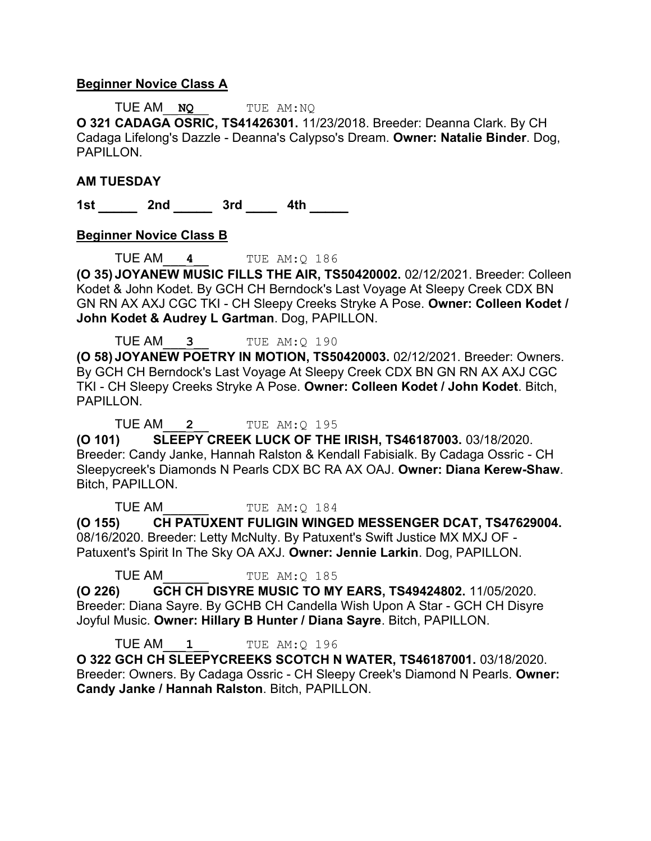#### **Beginner Novice Class A**

TUE AM\_\_**NQ**\_\_ TUE AM:NQ **O 321 CADAGA OSRIC, TS41426301.** 11/23/2018. Breeder: Deanna Clark. By CH Cadaga Lifelong's Dazzle - Deanna's Calypso's Dream. **Owner: Natalie Binder**. Dog, PAPILLON.

#### **AM TUESDAY**

**1st \_\_\_\_\_ 2nd \_\_\_\_\_ 3rd \_\_\_\_ 4th \_\_\_\_\_** 

#### **Beginner Novice Class B**

TUE AM\_\_\_**4**\_\_ TUE AM:Q 186

**(O 35) JOYANEW MUSIC FILLS THE AIR, TS50420002.** 02/12/2021. Breeder: Colleen Kodet & John Kodet. By GCH CH Berndock's Last Voyage At Sleepy Creek CDX BN GN RN AX AXJ CGC TKI - CH Sleepy Creeks Stryke A Pose. **Owner: Colleen Kodet / John Kodet & Audrey L Gartman**. Dog, PAPILLON.

TUE AM\_\_\_**3**\_\_ TUE AM:Q 190

**(O 58) JOYANEW POETRY IN MOTION, TS50420003.** 02/12/2021. Breeder: Owners. By GCH CH Berndock's Last Voyage At Sleepy Creek CDX BN GN RN AX AXJ CGC TKI - CH Sleepy Creeks Stryke A Pose. **Owner: Colleen Kodet / John Kodet**. Bitch, PAPILLON.

TUE AM\_\_\_**2**\_\_ TUE AM:Q 195

**(O 101) SLEEPY CREEK LUCK OF THE IRISH, TS46187003.** 03/18/2020. Breeder: Candy Janke, Hannah Ralston & Kendall Fabisialk. By Cadaga Ossric - CH Sleepycreek's Diamonds N Pearls CDX BC RA AX OAJ. **Owner: Diana Kerew-Shaw**. Bitch, PAPILLON.

TUE AM TUE AM: 0 184

**(O 155) CH PATUXENT FULIGIN WINGED MESSENGER DCAT, TS47629004.**  08/16/2020. Breeder: Letty McNulty. By Patuxent's Swift Justice MX MXJ OF - Patuxent's Spirit In The Sky OA AXJ. **Owner: Jennie Larkin**. Dog, PAPILLON.

TUE AM TUE AM: 0 185

**(O 226) GCH CH DISYRE MUSIC TO MY EARS, TS49424802.** 11/05/2020. Breeder: Diana Sayre. By GCHB CH Candella Wish Upon A Star - GCH CH Disyre Joyful Music. **Owner: Hillary B Hunter / Diana Sayre**. Bitch, PAPILLON.

TUE AM\_\_\_**1**\_\_ TUE AM:Q 196

**O 322 GCH CH SLEEPYCREEKS SCOTCH N WATER, TS46187001.** 03/18/2020. Breeder: Owners. By Cadaga Ossric - CH Sleepy Creek's Diamond N Pearls. **Owner: Candy Janke / Hannah Ralston**. Bitch, PAPILLON.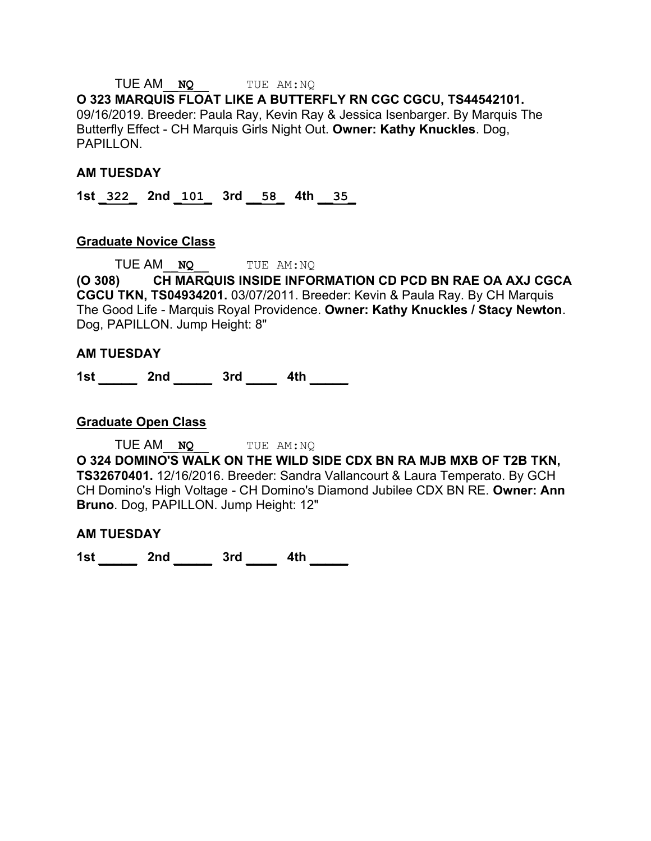# TUE AM\_\_**NQ**\_\_ TUE AM:NQ

**O 323 MARQUIS FLOAT LIKE A BUTTERFLY RN CGC CGCU, TS44542101.**  09/16/2019. Breeder: Paula Ray, Kevin Ray & Jessica Isenbarger. By Marquis The Butterfly Effect - CH Marquis Girls Night Out. **Owner: Kathy Knuckles**. Dog, PAPILLON.

#### **AM TUESDAY**

**1st \_322\_ 2nd \_101\_ 3rd \_\_58\_ 4th \_\_35\_** 

#### **Graduate Novice Class**

TUE AM\_\_**NQ**\_\_ TUE AM:NQ **(O 308) CH MARQUIS INSIDE INFORMATION CD PCD BN RAE OA AXJ CGCA CGCU TKN, TS04934201.** 03/07/2011. Breeder: Kevin & Paula Ray. By CH Marquis The Good Life - Marquis Royal Providence. **Owner: Kathy Knuckles / Stacy Newton**. Dog, PAPILLON. Jump Height: 8"

#### **AM TUESDAY**

**1st \_\_\_\_\_ 2nd \_\_\_\_\_ 3rd \_\_\_\_ 4th \_\_\_\_\_** 

#### **Graduate Open Class**

TUE AM\_\_**NQ**\_\_ TUE AM:NQ **O 324 DOMINO'S WALK ON THE WILD SIDE CDX BN RA MJB MXB OF T2B TKN, TS32670401.** 12/16/2016. Breeder: Sandra Vallancourt & Laura Temperato. By GCH CH Domino's High Voltage - CH Domino's Diamond Jubilee CDX BN RE. **Owner: Ann Bruno**. Dog, PAPILLON. Jump Height: 12"

#### **AM TUESDAY**

**1st \_\_\_\_\_ 2nd \_\_\_\_\_ 3rd \_\_\_\_ 4th \_\_\_\_\_**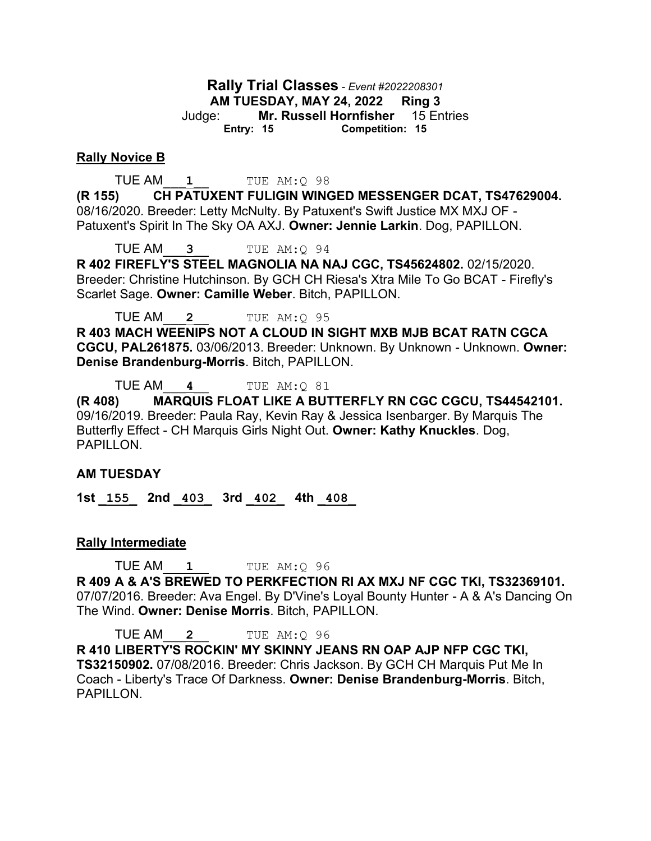**Rally Trial Classes** *- Event #2022208301* **AM TUESDAY, MAY 24, 2022 Ring 3** Judge: **Mr. Russell Hornfisher** 15 Entries **Entry: 15 Competition: 15**

#### **Rally Novice B**

**TUE AM\_\_\_1** TUE AM:Q 98

**(R 155) CH PATUXENT FULIGIN WINGED MESSENGER DCAT, TS47629004.**  08/16/2020. Breeder: Letty McNulty. By Patuxent's Swift Justice MX MXJ OF - Patuxent's Spirit In The Sky OA AXJ. **Owner: Jennie Larkin**. Dog, PAPILLON.

TUE AM\_\_\_**3**\_\_ TUE AM:Q 94

**R 402 FIREFLY'S STEEL MAGNOLIA NA NAJ CGC, TS45624802.** 02/15/2020. Breeder: Christine Hutchinson. By GCH CH Riesa's Xtra Mile To Go BCAT - Firefly's Scarlet Sage. **Owner: Camille Weber**. Bitch, PAPILLON.

TUE AM\_\_\_**2**\_\_ TUE AM:Q 95 **R 403 MACH WEENIPS NOT A CLOUD IN SIGHT MXB MJB BCAT RATN CGCA** 

**CGCU, PAL261875.** 03/06/2013. Breeder: Unknown. By Unknown - Unknown. **Owner: Denise Brandenburg-Morris**. Bitch, PAPILLON.

TUE AM\_\_\_**4**\_\_ TUE AM:Q 81

**(R 408) MARQUIS FLOAT LIKE A BUTTERFLY RN CGC CGCU, TS44542101.**  09/16/2019. Breeder: Paula Ray, Kevin Ray & Jessica Isenbarger. By Marquis The Butterfly Effect - CH Marquis Girls Night Out. **Owner: Kathy Knuckles**. Dog, PAPILLON.

#### **AM TUESDAY**

**1st \_155\_ 2nd \_403\_ 3rd \_402\_ 4th \_408\_** 

#### **Rally Intermediate**

**TUE AM\_\_\_1** TUE AM:Q 96

**R 409 A & A'S BREWED TO PERKFECTION RI AX MXJ NF CGC TKI, TS32369101.**  07/07/2016. Breeder: Ava Engel. By D'Vine's Loyal Bounty Hunter - A & A's Dancing On The Wind. **Owner: Denise Morris**. Bitch, PAPILLON.

TUE AM\_\_\_**2**\_\_ TUE AM:Q 96 **R 410 LIBERTY'S ROCKIN' MY SKINNY JEANS RN OAP AJP NFP CGC TKI, TS32150902.** 07/08/2016. Breeder: Chris Jackson. By GCH CH Marquis Put Me In Coach - Liberty's Trace Of Darkness. **Owner: Denise Brandenburg-Morris**. Bitch, PAPILLON.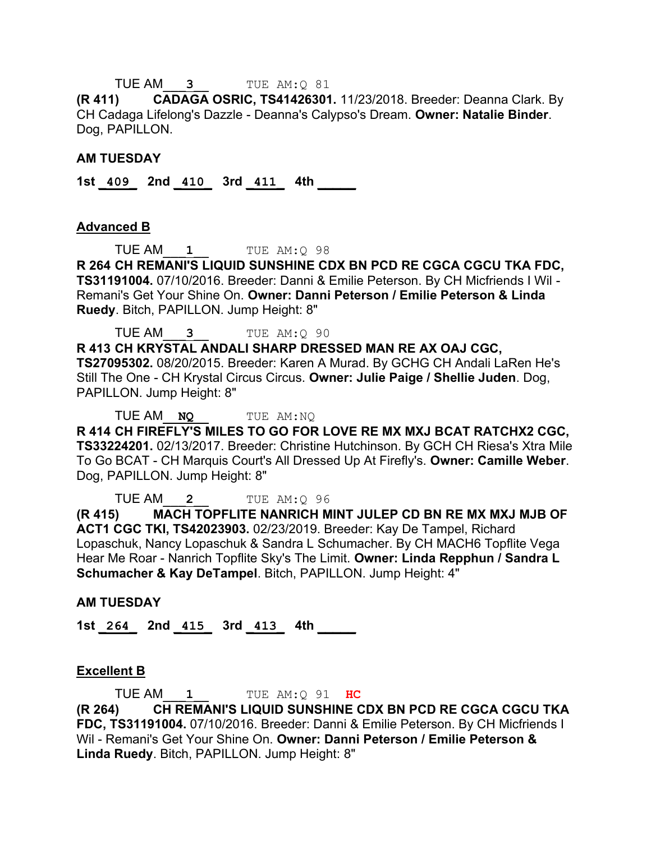TUE AM\_\_\_**3**\_\_ TUE AM:Q 81

**(R 411) CADAGA OSRIC, TS41426301.** 11/23/2018. Breeder: Deanna Clark. By CH Cadaga Lifelong's Dazzle - Deanna's Calypso's Dream. **Owner: Natalie Binder**. Dog, PAPILLON.

#### **AM TUESDAY**

**1st \_409\_ 2nd \_410\_ 3rd \_411\_ 4th \_\_\_\_\_** 

#### **Advanced B**

**TUE AM\_\_\_1** TUE AM: 0 98

**R 264 CH REMANI'S LIQUID SUNSHINE CDX BN PCD RE CGCA CGCU TKA FDC, TS31191004.** 07/10/2016. Breeder: Danni & Emilie Peterson. By CH Micfriends I Wil - Remani's Get Your Shine On. **Owner: Danni Peterson / Emilie Peterson & Linda Ruedy**. Bitch, PAPILLON. Jump Height: 8"

TUE AM\_\_\_**3**\_\_ TUE AM:Q 90

**R 413 CH KRYSTAL ANDALI SHARP DRESSED MAN RE AX OAJ CGC, TS27095302.** 08/20/2015. Breeder: Karen A Murad. By GCHG CH Andali LaRen He's Still The One - CH Krystal Circus Circus. **Owner: Julie Paige / Shellie Juden**. Dog, PAPILLON. Jump Height: 8"

TUE AM\_\_**NQ**\_\_ TUE AM:NQ

**R 414 CH FIREFLY'S MILES TO GO FOR LOVE RE MX MXJ BCAT RATCHX2 CGC, TS33224201.** 02/13/2017. Breeder: Christine Hutchinson. By GCH CH Riesa's Xtra Mile To Go BCAT - CH Marquis Court's All Dressed Up At Firefly's. **Owner: Camille Weber**. Dog, PAPILLON. Jump Height: 8"

TUE AM\_\_\_**2**\_\_ TUE AM:Q 96

**(R 415) MACH TOPFLITE NANRICH MINT JULEP CD BN RE MX MXJ MJB OF ACT1 CGC TKI, TS42023903.** 02/23/2019. Breeder: Kay De Tampel, Richard Lopaschuk, Nancy Lopaschuk & Sandra L Schumacher. By CH MACH6 Topflite Vega Hear Me Roar - Nanrich Topflite Sky's The Limit. **Owner: Linda Repphun / Sandra L Schumacher & Kay DeTampel**. Bitch, PAPILLON. Jump Height: 4"

#### **AM TUESDAY**

**1st \_264\_ 2nd \_415\_ 3rd \_413\_ 4th \_\_\_\_\_** 

#### **Excellent B**

TUE AM\_\_\_**1**\_\_ TUE AM:Q 91 **HC (R 264) CH REMANI'S LIQUID SUNSHINE CDX BN PCD RE CGCA CGCU TKA FDC, TS31191004.** 07/10/2016. Breeder: Danni & Emilie Peterson. By CH Micfriends I Wil - Remani's Get Your Shine On. **Owner: Danni Peterson / Emilie Peterson & Linda Ruedy**. Bitch, PAPILLON. Jump Height: 8"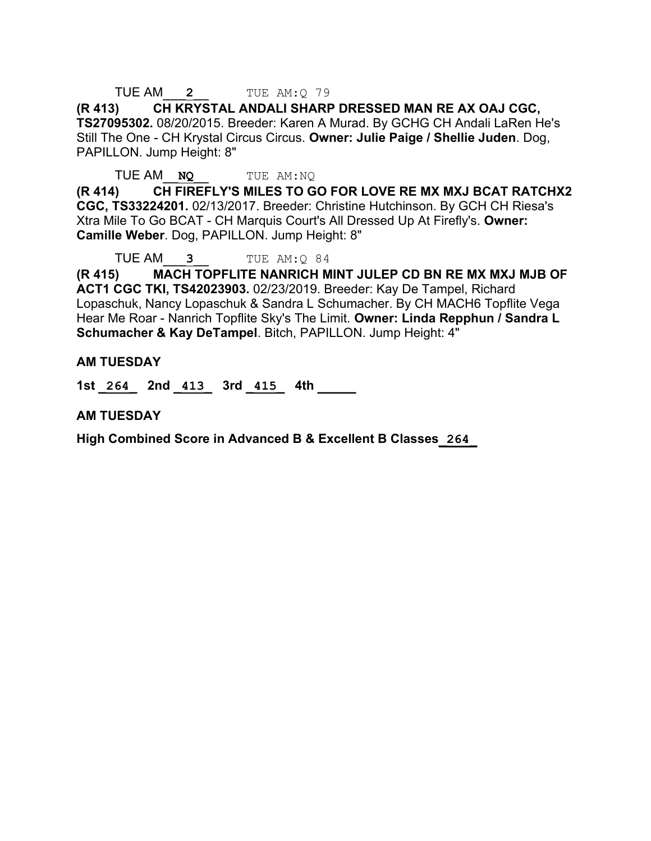TUE AM\_\_\_**2**\_\_ TUE AM:Q 79

**(R 413) CH KRYSTAL ANDALI SHARP DRESSED MAN RE AX OAJ CGC, TS27095302.** 08/20/2015. Breeder: Karen A Murad. By GCHG CH Andali LaRen He's Still The One - CH Krystal Circus Circus. **Owner: Julie Paige / Shellie Juden**. Dog, PAPILLON. Jump Height: 8"

TUE AM\_\_**NQ**\_\_ TUE AM:NQ

**(R 414) CH FIREFLY'S MILES TO GO FOR LOVE RE MX MXJ BCAT RATCHX2 CGC, TS33224201.** 02/13/2017. Breeder: Christine Hutchinson. By GCH CH Riesa's Xtra Mile To Go BCAT - CH Marquis Court's All Dressed Up At Firefly's. **Owner: Camille Weber**. Dog, PAPILLON. Jump Height: 8"

TUE AM\_\_\_**3**\_\_ TUE AM:Q 84

**(R 415) MACH TOPFLITE NANRICH MINT JULEP CD BN RE MX MXJ MJB OF ACT1 CGC TKI, TS42023903.** 02/23/2019. Breeder: Kay De Tampel, Richard Lopaschuk, Nancy Lopaschuk & Sandra L Schumacher. By CH MACH6 Topflite Vega Hear Me Roar - Nanrich Topflite Sky's The Limit. **Owner: Linda Repphun / Sandra L Schumacher & Kay DeTampel**. Bitch, PAPILLON. Jump Height: 4"

#### **AM TUESDAY**

**1st \_264\_ 2nd \_413\_ 3rd \_415\_ 4th \_\_\_\_\_** 

**AM TUESDAY**

**High Combined Score in Advanced B & Excellent B Classes\_264\_**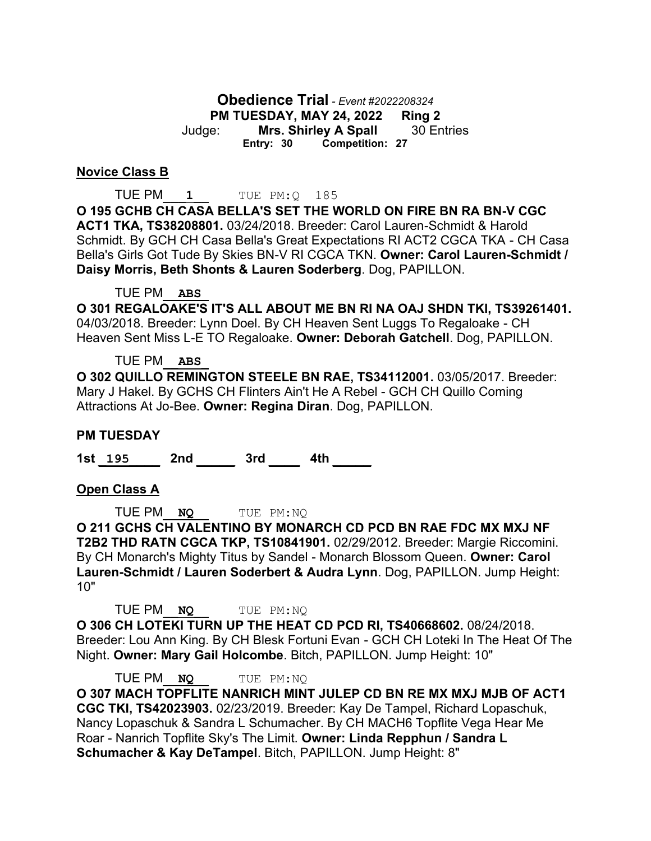**Obedience Trial** *- Event #2022208324* **PM TUESDAY, MAY 24, 2022 Ring 2** Judge: **Mrs. Shirley A Spall** 30 Entries **Entry: 30 Competition: 27**

#### **Novice Class B**

TUE PM\_\_\_**1**\_\_ TUE PM:Q 185 **O 195 GCHB CH CASA BELLA'S SET THE WORLD ON FIRE BN RA BN-V CGC ACT1 TKA, TS38208801.** 03/24/2018. Breeder: Carol Lauren-Schmidt & Harold Schmidt. By GCH CH Casa Bella's Great Expectations RI ACT2 CGCA TKA - CH Casa Bella's Girls Got Tude By Skies BN-V RI CGCA TKN. **Owner: Carol Lauren-Schmidt / Daisy Morris, Beth Shonts & Lauren Soderberg**. Dog, PAPILLON.

TUE PM\_\_**ABS**\_

**O 301 REGALOAKE'S IT'S ALL ABOUT ME BN RI NA OAJ SHDN TKI, TS39261401.**  04/03/2018. Breeder: Lynn Doel. By CH Heaven Sent Luggs To Regaloake - CH Heaven Sent Miss L-E TO Regaloake. **Owner: Deborah Gatchell**. Dog, PAPILLON.

#### TUE PM\_\_**ABS**\_

**O 302 QUILLO REMINGTON STEELE BN RAE, TS34112001.** 03/05/2017. Breeder: Mary J Hakel. By GCHS CH Flinters Ain't He A Rebel - GCH CH Quillo Coming Attractions At Jo-Bee. **Owner: Regina Diran**. Dog, PAPILLON.

#### **PM TUESDAY**

**1st \_195\_\_\_\_ 2nd \_\_\_\_\_ 3rd \_\_\_\_ 4th \_\_\_\_\_** 

#### **Open Class A**

TUE PM\_\_**NQ**\_\_ TUE PM:NQ

**O 211 GCHS CH VALENTINO BY MONARCH CD PCD BN RAE FDC MX MXJ NF T2B2 THD RATN CGCA TKP, TS10841901.** 02/29/2012. Breeder: Margie Riccomini. By CH Monarch's Mighty Titus by Sandel - Monarch Blossom Queen. **Owner: Carol Lauren-Schmidt / Lauren Soderbert & Audra Lynn**. Dog, PAPILLON. Jump Height: 10"

TUE PM\_\_**NQ**\_\_ TUE PM:NQ

**O 306 CH LOTEKI TURN UP THE HEAT CD PCD RI, TS40668602.** 08/24/2018. Breeder: Lou Ann King. By CH Blesk Fortuni Evan - GCH CH Loteki In The Heat Of The Night. **Owner: Mary Gail Holcombe**. Bitch, PAPILLON. Jump Height: 10"

TUE PM\_\_**NQ**\_\_ TUE PM:NQ

**O 307 MACH TOPFLITE NANRICH MINT JULEP CD BN RE MX MXJ MJB OF ACT1 CGC TKI, TS42023903.** 02/23/2019. Breeder: Kay De Tampel, Richard Lopaschuk, Nancy Lopaschuk & Sandra L Schumacher. By CH MACH6 Topflite Vega Hear Me Roar - Nanrich Topflite Sky's The Limit. **Owner: Linda Repphun / Sandra L Schumacher & Kay DeTampel**. Bitch, PAPILLON. Jump Height: 8"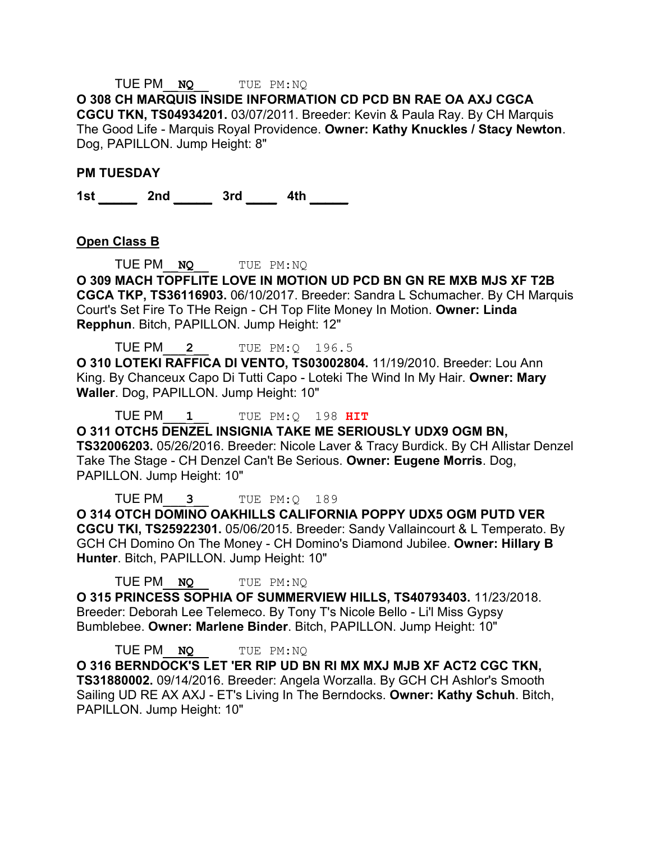## TUE PM\_\_**NQ**\_\_ TUE PM:NQ

**O 308 CH MARQUIS INSIDE INFORMATION CD PCD BN RAE OA AXJ CGCA CGCU TKN, TS04934201.** 03/07/2011. Breeder: Kevin & Paula Ray. By CH Marquis The Good Life - Marquis Royal Providence. **Owner: Kathy Knuckles / Stacy Newton**. Dog, PAPILLON. Jump Height: 8"

#### **PM TUESDAY**

**1st \_\_\_\_\_ 2nd \_\_\_\_\_ 3rd \_\_\_\_ 4th \_\_\_\_\_** 

#### **Open Class B**

TUE PM\_\_**NQ**\_\_ TUE PM:NQ

**O 309 MACH TOPFLITE LOVE IN MOTION UD PCD BN GN RE MXB MJS XF T2B CGCA TKP, TS36116903.** 06/10/2017. Breeder: Sandra L Schumacher. By CH Marquis Court's Set Fire To THe Reign - CH Top Flite Money In Motion. **Owner: Linda Repphun**. Bitch, PAPILLON. Jump Height: 12"

TUE PM\_\_\_**2**\_\_ TUE PM:Q 196.5

**O 310 LOTEKI RAFFICA DI VENTO, TS03002804.** 11/19/2010. Breeder: Lou Ann King. By Chanceux Capo Di Tutti Capo - Loteki The Wind In My Hair. **Owner: Mary Waller**. Dog, PAPILLON. Jump Height: 10"

TUE PM\_\_\_**1**\_\_ TUE PM:Q 198 **HIT O 311 OTCH5 DENZEL INSIGNIA TAKE ME SERIOUSLY UDX9 OGM BN, TS32006203.** 05/26/2016. Breeder: Nicole Laver & Tracy Burdick. By CH Allistar Denzel Take The Stage - CH Denzel Can't Be Serious. **Owner: Eugene Morris**. Dog, PAPILLON. Jump Height: 10"

TUE PM\_\_\_**3**\_\_ TUE PM:Q 189 **O 314 OTCH DOMINO OAKHILLS CALIFORNIA POPPY UDX5 OGM PUTD VER CGCU TKI, TS25922301.** 05/06/2015. Breeder: Sandy Vallaincourt & L Temperato. By GCH CH Domino On The Money - CH Domino's Diamond Jubilee. **Owner: Hillary B Hunter**. Bitch, PAPILLON. Jump Height: 10"

TUE PM\_\_**NQ**\_\_ TUE PM:NQ

**O 315 PRINCESS SOPHIA OF SUMMERVIEW HILLS, TS40793403.** 11/23/2018. Breeder: Deborah Lee Telemeco. By Tony T's Nicole Bello - Li'l Miss Gypsy Bumblebee. **Owner: Marlene Binder**. Bitch, PAPILLON. Jump Height: 10"

TUE PM\_\_**NQ**\_\_ TUE PM:NQ **O 316 BERNDOCK'S LET 'ER RIP UD BN RI MX MXJ MJB XF ACT2 CGC TKN, TS31880002.** 09/14/2016. Breeder: Angela Worzalla. By GCH CH Ashlor's Smooth Sailing UD RE AX AXJ - ET's Living In The Berndocks. **Owner: Kathy Schuh**. Bitch, PAPILLON. Jump Height: 10"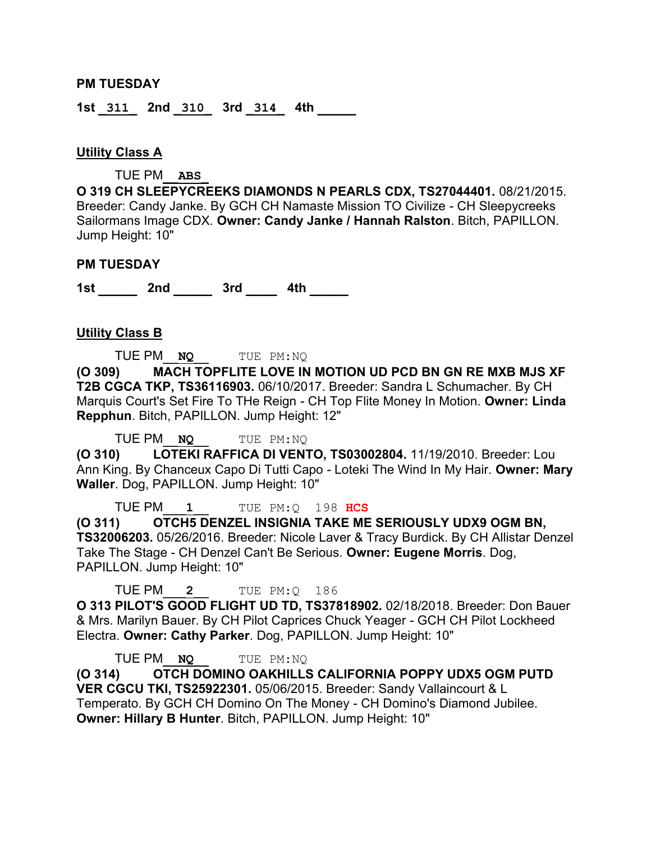#### **PM TUESDAY**

**1st \_311\_ 2nd \_310\_ 3rd \_314\_ 4th \_\_\_\_\_** 

#### **Utility Class A**

TUE PM\_\_**ABS**\_

**O 319 CH SLEEPYCREEKS DIAMONDS N PEARLS CDX, TS27044401.** 08/21/2015. Breeder: Candy Janke. By GCH CH Namaste Mission TO Civilize - CH Sleepycreeks Sailormans Image CDX. **Owner: Candy Janke / Hannah Ralston**. Bitch, PAPILLON. Jump Height: 10"

#### **PM TUESDAY**

**1st \_\_\_\_\_ 2nd \_\_\_\_\_ 3rd \_\_\_\_ 4th \_\_\_\_\_** 

#### **Utility Class B**

TUE PM\_\_**NQ**\_\_ TUE PM:NQ

**(O 309) MACH TOPFLITE LOVE IN MOTION UD PCD BN GN RE MXB MJS XF T2B CGCA TKP, TS36116903.** 06/10/2017. Breeder: Sandra L Schumacher. By CH Marquis Court's Set Fire To THe Reign - CH Top Flite Money In Motion. **Owner: Linda Repphun**. Bitch, PAPILLON. Jump Height: 12"

TUE PM\_\_**NQ**\_\_ TUE PM:NQ

**(O 310) LOTEKI RAFFICA DI VENTO, TS03002804.** 11/19/2010. Breeder: Lou Ann King. By Chanceux Capo Di Tutti Capo - Loteki The Wind In My Hair. **Owner: Mary Waller**. Dog, PAPILLON. Jump Height: 10"

TUE PM\_\_\_**1**\_\_ TUE PM:Q 198 **HCS**

**(O 311) OTCH5 DENZEL INSIGNIA TAKE ME SERIOUSLY UDX9 OGM BN, TS32006203.** 05/26/2016. Breeder: Nicole Laver & Tracy Burdick. By CH Allistar Denzel Take The Stage - CH Denzel Can't Be Serious. **Owner: Eugene Morris**. Dog, PAPILLON. Jump Height: 10"

TUE PM\_\_\_**2**\_\_ TUE PM:Q 186

**O 313 PILOT'S GOOD FLIGHT UD TD, TS37818902.** 02/18/2018. Breeder: Don Bauer & Mrs. Marilyn Bauer. By CH Pilot Caprices Chuck Yeager - GCH CH Pilot Lockheed Electra. **Owner: Cathy Parker**. Dog, PAPILLON. Jump Height: 10"

TUE PM\_\_**NQ**\_\_ TUE PM:NQ **(O 314) OTCH DOMINO OAKHILLS CALIFORNIA POPPY UDX5 OGM PUTD VER CGCU TKI, TS25922301.** 05/06/2015. Breeder: Sandy Vallaincourt & L Temperato. By GCH CH Domino On The Money - CH Domino's Diamond Jubilee. **Owner: Hillary B Hunter**. Bitch, PAPILLON. Jump Height: 10"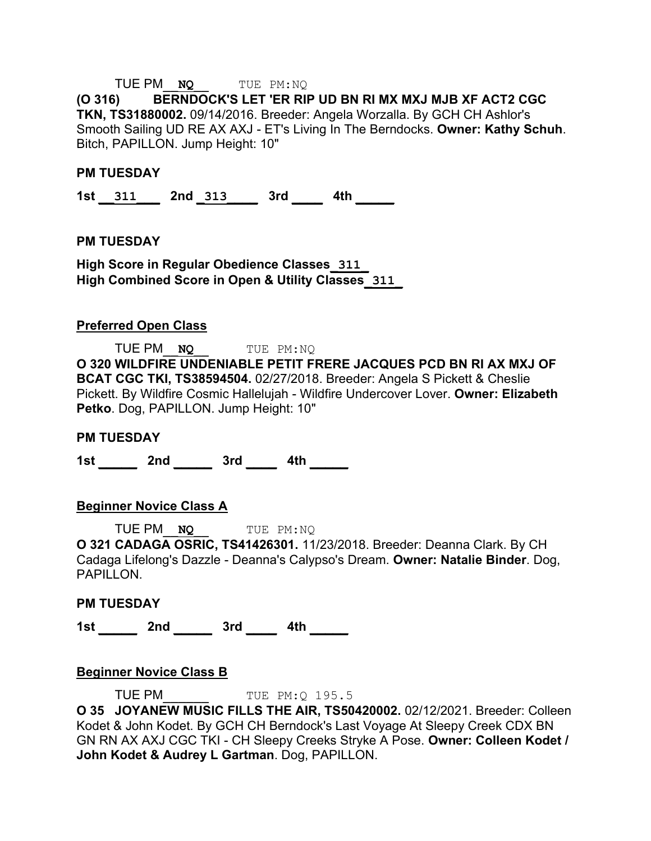## TUE PM\_\_**NQ**\_\_ TUE PM:NQ

**(O 316) BERNDOCK'S LET 'ER RIP UD BN RI MX MXJ MJB XF ACT2 CGC TKN, TS31880002.** 09/14/2016. Breeder: Angela Worzalla. By GCH CH Ashlor's Smooth Sailing UD RE AX AXJ - ET's Living In The Berndocks. **Owner: Kathy Schuh**. Bitch, PAPILLON. Jump Height: 10"

#### **PM TUESDAY**

**1st \_\_311\_\_\_ 2nd \_313\_\_\_\_ 3rd \_\_\_\_ 4th \_\_\_\_\_** 

#### **PM TUESDAY**

**High Score in Regular Obedience Classes\_311\_ High Combined Score in Open & Utility Classes\_311\_**

#### **Preferred Open Class**

TUE PM\_\_**NQ**\_\_ TUE PM:NQ **O 320 WILDFIRE UNDENIABLE PETIT FRERE JACQUES PCD BN RI AX MXJ OF BCAT CGC TKI, TS38594504.** 02/27/2018. Breeder: Angela S Pickett & Cheslie Pickett. By Wildfire Cosmic Hallelujah - Wildfire Undercover Lover. **Owner: Elizabeth Petko**. Dog, PAPILLON. Jump Height: 10"

#### **PM TUESDAY**

**1st \_\_\_\_\_ 2nd \_\_\_\_\_ 3rd \_\_\_\_ 4th \_\_\_\_\_** 

#### **Beginner Novice Class A**

TUE PM\_\_**NQ**\_\_ TUE PM:NQ

**O 321 CADAGA OSRIC, TS41426301.** 11/23/2018. Breeder: Deanna Clark. By CH Cadaga Lifelong's Dazzle - Deanna's Calypso's Dream. **Owner: Natalie Binder**. Dog, PAPILLON.

#### **PM TUESDAY**

**1st \_\_\_\_\_ 2nd \_\_\_\_\_ 3rd \_\_\_\_ 4th \_\_\_\_\_** 

#### **Beginner Novice Class B**

**TUE PM** TUE PM: 0 195.5

**O 35 JOYANEW MUSIC FILLS THE AIR, TS50420002.** 02/12/2021. Breeder: Colleen Kodet & John Kodet. By GCH CH Berndock's Last Voyage At Sleepy Creek CDX BN GN RN AX AXJ CGC TKI - CH Sleepy Creeks Stryke A Pose. **Owner: Colleen Kodet / John Kodet & Audrey L Gartman**. Dog, PAPILLON.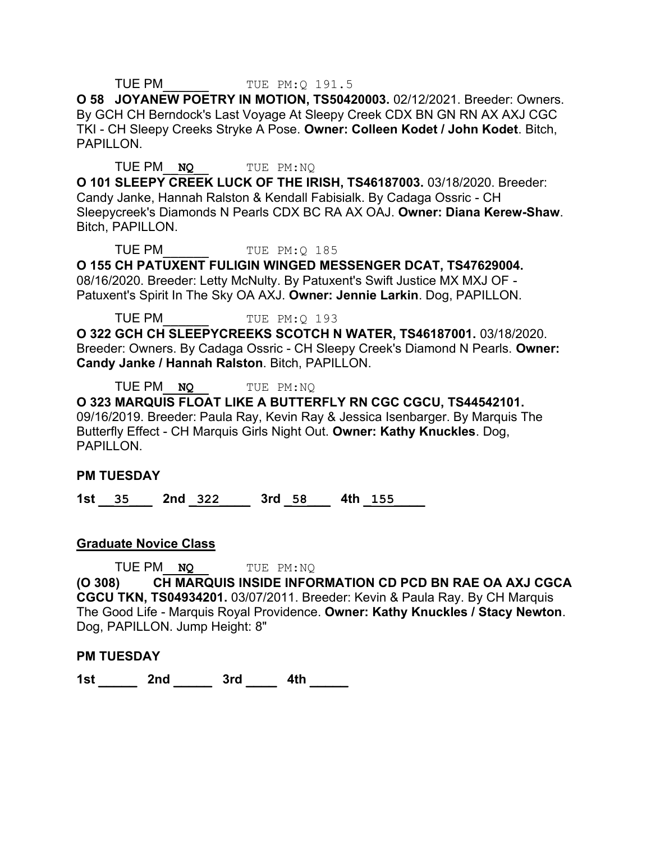#### **TUE PM** TUE PM: 0 191.5

**O 58 JOYANEW POETRY IN MOTION, TS50420003.** 02/12/2021. Breeder: Owners. By GCH CH Berndock's Last Voyage At Sleepy Creek CDX BN GN RN AX AXJ CGC TKI - CH Sleepy Creeks Stryke A Pose. **Owner: Colleen Kodet / John Kodet**. Bitch, PAPILLON.

#### TUE PM\_\_**NQ**\_\_ TUE PM:NQ

**O 101 SLEEPY CREEK LUCK OF THE IRISH, TS46187003.** 03/18/2020. Breeder: Candy Janke, Hannah Ralston & Kendall Fabisialk. By Cadaga Ossric - CH Sleepycreek's Diamonds N Pearls CDX BC RA AX OAJ. **Owner: Diana Kerew-Shaw**. Bitch, PAPILLON.

#### TUE PM TUE PM: Q 185

**O 155 CH PATUXENT FULIGIN WINGED MESSENGER DCAT, TS47629004.**  08/16/2020. Breeder: Letty McNulty. By Patuxent's Swift Justice MX MXJ OF - Patuxent's Spirit In The Sky OA AXJ. **Owner: Jennie Larkin**. Dog, PAPILLON.

TUE PM TUE PM: Q 193

**O 322 GCH CH SLEEPYCREEKS SCOTCH N WATER, TS46187001.** 03/18/2020. Breeder: Owners. By Cadaga Ossric - CH Sleepy Creek's Diamond N Pearls. **Owner: Candy Janke / Hannah Ralston**. Bitch, PAPILLON.

TUE PM\_\_**NQ**\_\_ TUE PM:NQ

**O 323 MARQUIS FLOAT LIKE A BUTTERFLY RN CGC CGCU, TS44542101.**  09/16/2019. Breeder: Paula Ray, Kevin Ray & Jessica Isenbarger. By Marquis The Butterfly Effect - CH Marquis Girls Night Out. **Owner: Kathy Knuckles**. Dog, PAPILLON.

#### **PM TUESDAY**

**1st \_\_35\_\_\_ 2nd \_322\_\_\_\_ 3rd \_58\_\_\_ 4th \_155\_\_\_\_** 

#### **Graduate Novice Class**

TUE PM\_\_**NQ**\_\_ TUE PM:NQ **(O 308) CH MARQUIS INSIDE INFORMATION CD PCD BN RAE OA AXJ CGCA CGCU TKN, TS04934201.** 03/07/2011. Breeder: Kevin & Paula Ray. By CH Marquis The Good Life - Marquis Royal Providence. **Owner: Kathy Knuckles / Stacy Newton**. Dog, PAPILLON. Jump Height: 8"

#### **PM TUESDAY**

**1st \_\_\_\_\_ 2nd \_\_\_\_\_ 3rd \_\_\_\_ 4th \_\_\_\_\_**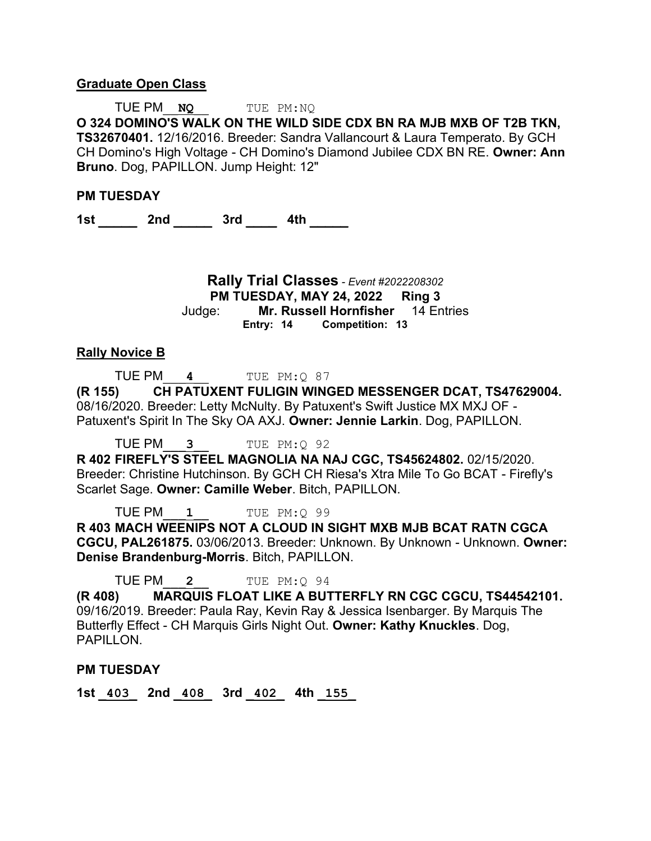#### **Graduate Open Class**

TUE PM\_\_**NQ**\_\_ TUE PM:NQ **O 324 DOMINO'S WALK ON THE WILD SIDE CDX BN RA MJB MXB OF T2B TKN, TS32670401.** 12/16/2016. Breeder: Sandra Vallancourt & Laura Temperato. By GCH CH Domino's High Voltage - CH Domino's Diamond Jubilee CDX BN RE. **Owner: Ann Bruno**. Dog, PAPILLON. Jump Height: 12"

#### **PM TUESDAY**

**1st \_\_\_\_\_ 2nd \_\_\_\_\_ 3rd \_\_\_\_ 4th \_\_\_\_\_** 

**Rally Trial Classes** *- Event #2022208302* **PM TUESDAY, MAY 24, 2022 Ring 3** Judge: **Mr. Russell Hornfisher** 14 Entries **Entry: 14 Competition: 13**

#### **Rally Novice B**

TUE PM\_\_\_**4**\_\_ TUE PM:Q 87

**(R 155) CH PATUXENT FULIGIN WINGED MESSENGER DCAT, TS47629004.**  08/16/2020. Breeder: Letty McNulty. By Patuxent's Swift Justice MX MXJ OF - Patuxent's Spirit In The Sky OA AXJ. **Owner: Jennie Larkin**. Dog, PAPILLON.

TUE PM\_\_\_**3**\_\_ TUE PM:Q 92

**R 402 FIREFLY'S STEEL MAGNOLIA NA NAJ CGC, TS45624802.** 02/15/2020. Breeder: Christine Hutchinson. By GCH CH Riesa's Xtra Mile To Go BCAT - Firefly's Scarlet Sage. **Owner: Camille Weber**. Bitch, PAPILLON.

TUE PM\_\_\_**1**\_\_ TUE PM:Q 99

**R 403 MACH WEENIPS NOT A CLOUD IN SIGHT MXB MJB BCAT RATN CGCA CGCU, PAL261875.** 03/06/2013. Breeder: Unknown. By Unknown - Unknown. **Owner: Denise Brandenburg-Morris**. Bitch, PAPILLON.

TUE PM\_\_\_**2**\_\_ TUE PM:Q 94

**(R 408) MARQUIS FLOAT LIKE A BUTTERFLY RN CGC CGCU, TS44542101.**  09/16/2019. Breeder: Paula Ray, Kevin Ray & Jessica Isenbarger. By Marquis The Butterfly Effect - CH Marquis Girls Night Out. **Owner: Kathy Knuckles**. Dog, PAPILLON.

#### **PM TUESDAY**

**1st \_403\_ 2nd \_408\_ 3rd \_402\_ 4th \_155\_**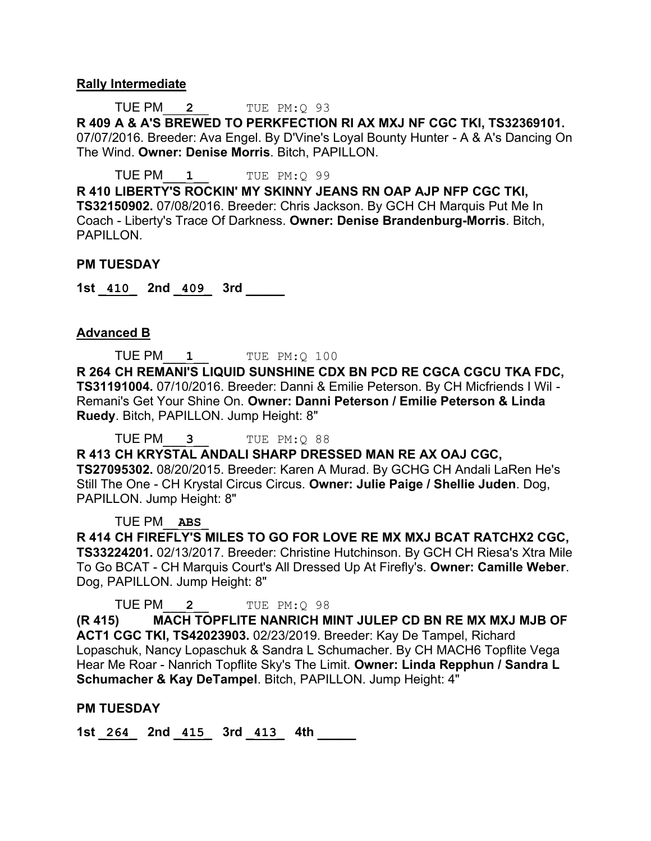#### **Rally Intermediate**

TUE PM\_\_\_**2**\_\_ TUE PM:Q 93

**R 409 A & A'S BREWED TO PERKFECTION RI AX MXJ NF CGC TKI, TS32369101.**  07/07/2016. Breeder: Ava Engel. By D'Vine's Loyal Bounty Hunter - A & A's Dancing On The Wind. **Owner: Denise Morris**. Bitch, PAPILLON.

TUE PM\_\_\_**1**\_\_ TUE PM:Q 99

**R 410 LIBERTY'S ROCKIN' MY SKINNY JEANS RN OAP AJP NFP CGC TKI, TS32150902.** 07/08/2016. Breeder: Chris Jackson. By GCH CH Marquis Put Me In Coach - Liberty's Trace Of Darkness. **Owner: Denise Brandenburg-Morris**. Bitch, PAPILLON.

#### **PM TUESDAY**

**1st \_410\_ 2nd \_409\_ 3rd \_\_\_\_\_** 

### **Advanced B**

TUE PM\_\_\_**1**\_\_ TUE PM:Q 100 **R 264 CH REMANI'S LIQUID SUNSHINE CDX BN PCD RE CGCA CGCU TKA FDC, TS31191004.** 07/10/2016. Breeder: Danni & Emilie Peterson. By CH Micfriends I Wil - Remani's Get Your Shine On. **Owner: Danni Peterson / Emilie Peterson & Linda Ruedy**. Bitch, PAPILLON. Jump Height: 8"

TUE PM\_\_\_**3**\_\_ TUE PM:Q 88

**R 413 CH KRYSTAL ANDALI SHARP DRESSED MAN RE AX OAJ CGC, TS27095302.** 08/20/2015. Breeder: Karen A Murad. By GCHG CH Andali LaRen He's Still The One - CH Krystal Circus Circus. **Owner: Julie Paige / Shellie Juden**. Dog, PAPILLON. Jump Height: 8"

TUE PM\_\_**ABS**\_

**R 414 CH FIREFLY'S MILES TO GO FOR LOVE RE MX MXJ BCAT RATCHX2 CGC, TS33224201.** 02/13/2017. Breeder: Christine Hutchinson. By GCH CH Riesa's Xtra Mile To Go BCAT - CH Marquis Court's All Dressed Up At Firefly's. **Owner: Camille Weber**. Dog, PAPILLON. Jump Height: 8"

TUE PM\_\_\_**2**\_\_ TUE PM:Q 98

**(R 415) MACH TOPFLITE NANRICH MINT JULEP CD BN RE MX MXJ MJB OF ACT1 CGC TKI, TS42023903.** 02/23/2019. Breeder: Kay De Tampel, Richard Lopaschuk, Nancy Lopaschuk & Sandra L Schumacher. By CH MACH6 Topflite Vega Hear Me Roar - Nanrich Topflite Sky's The Limit. **Owner: Linda Repphun / Sandra L Schumacher & Kay DeTampel**. Bitch, PAPILLON. Jump Height: 4"

#### **PM TUESDAY**

**1st \_264\_ 2nd \_415\_ 3rd \_413\_ 4th \_\_\_\_\_**